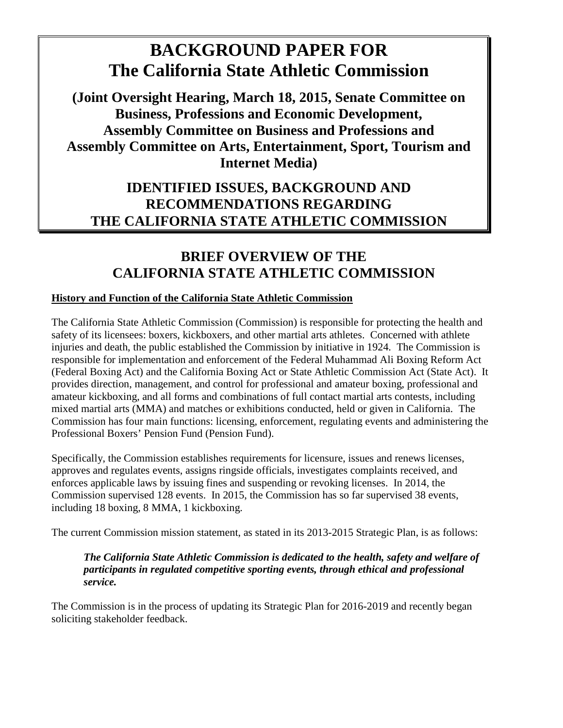# **BACKGROUND PAPER FOR The California State Athletic Commission**

**(Joint Oversight Hearing, March 18, 2015, Senate Committee on Business, Professions and Economic Development, Assembly Committee on Business and Professions and Assembly Committee on Arts, Entertainment, Sport, Tourism and Internet Media)** 

## **IDENTIFIED ISSUES, BACKGROUND AND RECOMMENDATIONS REGARDING THE CALIFORNIA STATE ATHLETIC COMMISSION**

## **BRIEF OVERVIEW OF THE CALIFORNIA STATE ATHLETIC COMMISSION**

## **History and Function of the California State Athletic Commission**

The California State Athletic Commission (Commission) is responsible for protecting the health and safety of its licensees: boxers, kickboxers, and other martial arts athletes. Concerned with athlete injuries and death, the public established the Commission by initiative in 1924. The Commission is responsible for implementation and enforcement of the Federal Muhammad Ali Boxing Reform Act (Federal Boxing Act) and the California Boxing Act or State Athletic Commission Act (State Act). It provides direction, management, and control for professional and amateur boxing, professional and amateur kickboxing, and all forms and combinations of full contact martial arts contests, including mixed martial arts (MMA) and matches or exhibitions conducted, held or given in California. The Commission has four main functions: licensing, enforcement, regulating events and administering the Professional Boxers' Pension Fund (Pension Fund).

Specifically, the Commission establishes requirements for licensure, issues and renews licenses, approves and regulates events, assigns ringside officials, investigates complaints received, and enforces applicable laws by issuing fines and suspending or revoking licenses. In 2014, the Commission supervised 128 events. In 2015, the Commission has so far supervised 38 events, including 18 boxing, 8 MMA, 1 kickboxing.

The current Commission mission statement, as stated in its 2013-2015 Strategic Plan, is as follows:

## *The California State Athletic Commission is dedicated to the health, safety and welfare of participants in regulated competitive sporting events, through ethical and professional service.*

The Commission is in the process of updating its Strategic Plan for 2016-2019 and recently began soliciting stakeholder feedback.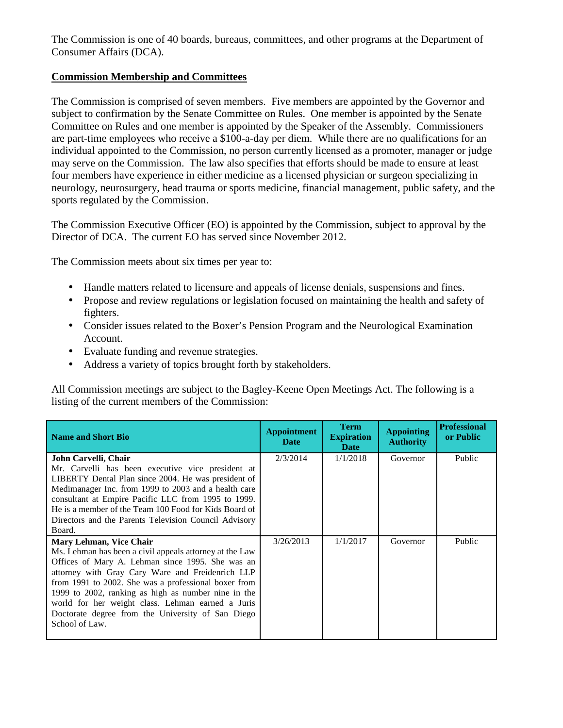The Commission is one of 40 boards, bureaus, committees, and other programs at the Department of Consumer Affairs (DCA).

## **Commission Membership and Committees**

The Commission is comprised of seven members. Five members are appointed by the Governor and subject to confirmation by the Senate Committee on Rules. One member is appointed by the Senate Committee on Rules and one member is appointed by the Speaker of the Assembly. Commissioners are part-time employees who receive a \$100-a-day per diem. While there are no qualifications for an individual appointed to the Commission, no person currently licensed as a promoter, manager or judge may serve on the Commission. The law also specifies that efforts should be made to ensure at least four members have experience in either medicine as a licensed physician or surgeon specializing in neurology, neurosurgery, head trauma or sports medicine, financial management, public safety, and the sports regulated by the Commission.

The Commission Executive Officer (EO) is appointed by the Commission, subject to approval by the Director of DCA. The current EO has served since November 2012.

The Commission meets about six times per year to:

- Handle matters related to licensure and appeals of license denials, suspensions and fines.
- Propose and review regulations or legislation focused on maintaining the health and safety of fighters.
- Consider issues related to the Boxer's Pension Program and the Neurological Examination Account.
- Evaluate funding and revenue strategies.
- Address a variety of topics brought forth by stakeholders.

All Commission meetings are subject to the Bagley-Keene Open Meetings Act. The following is a listing of the current members of the Commission:

| <b>Name and Short Bio</b>                               | <b>Appointment</b><br><b>Date</b> | <b>Term</b><br><b>Expiration</b><br><b>Date</b> | <b>Appointing</b><br><b>Authority</b> | <b>Professional</b><br>or Public |
|---------------------------------------------------------|-----------------------------------|-------------------------------------------------|---------------------------------------|----------------------------------|
| John Carvelli, Chair                                    | 2/3/2014                          | 1/1/2018                                        | Governor                              | Public                           |
| Mr. Carvelli has been executive vice president at       |                                   |                                                 |                                       |                                  |
| LIBERTY Dental Plan since 2004. He was president of     |                                   |                                                 |                                       |                                  |
| Medimanager Inc. from 1999 to 2003 and a health care    |                                   |                                                 |                                       |                                  |
| consultant at Empire Pacific LLC from 1995 to 1999.     |                                   |                                                 |                                       |                                  |
| He is a member of the Team 100 Food for Kids Board of   |                                   |                                                 |                                       |                                  |
| Directors and the Parents Television Council Advisory   |                                   |                                                 |                                       |                                  |
| Board.                                                  |                                   |                                                 |                                       |                                  |
| Mary Lehman, Vice Chair                                 | 3/26/2013                         | 1/1/2017                                        | Governor                              | Public                           |
| Ms. Lehman has been a civil appeals attorney at the Law |                                   |                                                 |                                       |                                  |
| Offices of Mary A. Lehman since 1995. She was an        |                                   |                                                 |                                       |                                  |
| attorney with Gray Cary Ware and Freidenrich LLP        |                                   |                                                 |                                       |                                  |
| from 1991 to 2002. She was a professional boxer from    |                                   |                                                 |                                       |                                  |
| 1999 to 2002, ranking as high as number nine in the     |                                   |                                                 |                                       |                                  |
| world for her weight class. Lehman earned a Juris       |                                   |                                                 |                                       |                                  |
| Doctorate degree from the University of San Diego       |                                   |                                                 |                                       |                                  |
| School of Law.                                          |                                   |                                                 |                                       |                                  |
|                                                         |                                   |                                                 |                                       |                                  |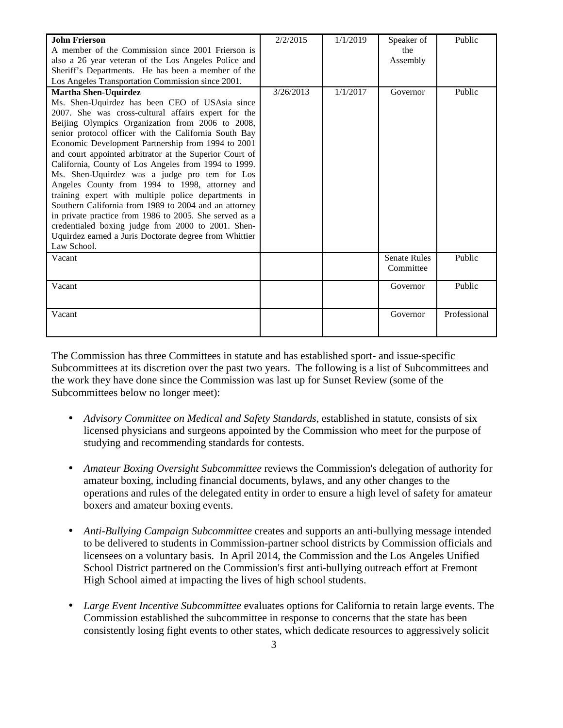| <b>John Frierson</b>                                    | 2/2/2015  | 1/1/2019 | Speaker of          | Public       |
|---------------------------------------------------------|-----------|----------|---------------------|--------------|
| A member of the Commission since 2001 Frierson is       |           |          | the                 |              |
| also a 26 year veteran of the Los Angeles Police and    |           |          | Assembly            |              |
| Sheriff's Departments. He has been a member of the      |           |          |                     |              |
| Los Angeles Transportation Commission since 2001.       |           |          |                     |              |
| <b>Martha Shen-Uquirdez</b>                             | 3/26/2013 | 1/1/2017 | Governor            | Public       |
| Ms. Shen-Uquirdez has been CEO of USAsia since          |           |          |                     |              |
| 2007. She was cross-cultural affairs expert for the     |           |          |                     |              |
| Beijing Olympics Organization from 2006 to 2008,        |           |          |                     |              |
| senior protocol officer with the California South Bay   |           |          |                     |              |
| Economic Development Partnership from 1994 to 2001      |           |          |                     |              |
| and court appointed arbitrator at the Superior Court of |           |          |                     |              |
| California, County of Los Angeles from 1994 to 1999.    |           |          |                     |              |
| Ms. Shen-Uquirdez was a judge pro tem for Los           |           |          |                     |              |
| Angeles County from 1994 to 1998, attorney and          |           |          |                     |              |
| training expert with multiple police departments in     |           |          |                     |              |
| Southern California from 1989 to 2004 and an attorney   |           |          |                     |              |
| in private practice from 1986 to 2005. She served as a  |           |          |                     |              |
| credentialed boxing judge from 2000 to 2001. Shen-      |           |          |                     |              |
| Uquirdez earned a Juris Doctorate degree from Whittier  |           |          |                     |              |
| Law School.                                             |           |          |                     |              |
| Vacant                                                  |           |          | <b>Senate Rules</b> | Public       |
|                                                         |           |          | Committee           |              |
| Vacant                                                  |           |          | Governor            | Public       |
|                                                         |           |          |                     |              |
| Vacant                                                  |           |          | Governor            | Professional |
|                                                         |           |          |                     |              |
|                                                         |           |          |                     |              |

The Commission has three Committees in statute and has established sport- and issue-specific Subcommittees at its discretion over the past two years. The following is a list of Subcommittees and the work they have done since the Commission was last up for Sunset Review (some of the Subcommittees below no longer meet):

- *Advisory Committee on Medical and Safety Standards*, established in statute, consists of six licensed physicians and surgeons appointed by the Commission who meet for the purpose of studying and recommending standards for contests.
- *Amateur Boxing Oversight Subcommittee* reviews the Commission's delegation of authority for amateur boxing, including financial documents, bylaws, and any other changes to the operations and rules of the delegated entity in order to ensure a high level of safety for amateur boxers and amateur boxing events.
- *Anti-Bullying Campaign Subcommittee* creates and supports an anti-bullying message intended to be delivered to students in Commission-partner school districts by Commission officials and licensees on a voluntary basis. In April 2014, the Commission and the Los Angeles Unified School District partnered on the Commission's first anti-bullying outreach effort at Fremont High School aimed at impacting the lives of high school students.
- *Large Event Incentive Subcommittee* evaluates options for California to retain large events. The Commission established the subcommittee in response to concerns that the state has been consistently losing fight events to other states, which dedicate resources to aggressively solicit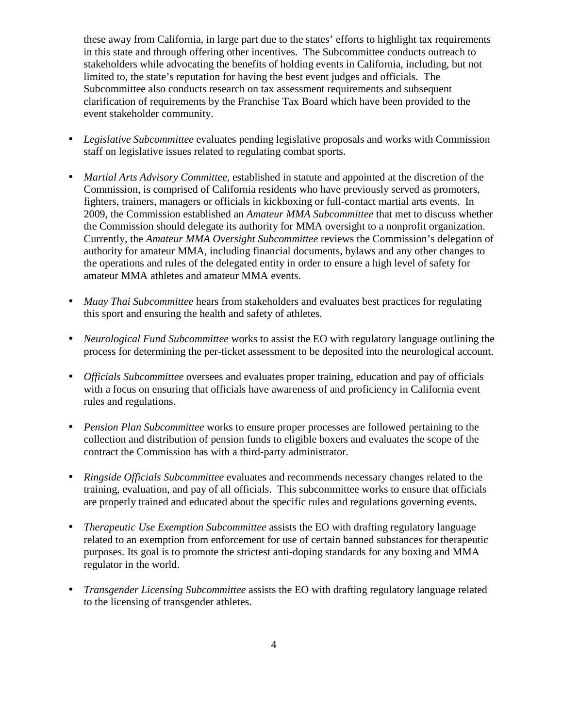these away from California, in large part due to the states' efforts to highlight tax requirements in this state and through offering other incentives. The Subcommittee conducts outreach to stakeholders while advocating the benefits of holding events in California, including, but not limited to, the state's reputation for having the best event judges and officials. The Subcommittee also conducts research on tax assessment requirements and subsequent clarification of requirements by the Franchise Tax Board which have been provided to the event stakeholder community.

- *Legislative Subcommittee* evaluates pending legislative proposals and works with Commission staff on legislative issues related to regulating combat sports.
- *Martial Arts Advisory Committee*, established in statute and appointed at the discretion of the Commission, is comprised of California residents who have previously served as promoters, fighters, trainers, managers or officials in kickboxing or full-contact martial arts events. In 2009, the Commission established an *Amateur MMA Subcommittee* that met to discuss whether the Commission should delegate its authority for MMA oversight to a nonprofit organization. Currently, the *Amateur MMA Oversight Subcommittee* reviews the Commission's delegation of authority for amateur MMA, including financial documents, bylaws and any other changes to the operations and rules of the delegated entity in order to ensure a high level of safety for amateur MMA athletes and amateur MMA events.
- *Muay Thai Subcommittee* hears from stakeholders and evaluates best practices for regulating this sport and ensuring the health and safety of athletes.
- *Neurological Fund Subcommittee* works to assist the EO with regulatory language outlining the process for determining the per-ticket assessment to be deposited into the neurological account.
- *Officials Subcommittee* oversees and evaluates proper training, education and pay of officials with a focus on ensuring that officials have awareness of and proficiency in California event rules and regulations.
- *Pension Plan Subcommittee* works to ensure proper processes are followed pertaining to the collection and distribution of pension funds to eligible boxers and evaluates the scope of the contract the Commission has with a third-party administrator.
- *Ringside Officials Subcommittee* evaluates and recommends necessary changes related to the training, evaluation, and pay of all officials. This subcommittee works to ensure that officials are properly trained and educated about the specific rules and regulations governing events.
- *Therapeutic Use Exemption Subcommittee* assists the EO with drafting regulatory language related to an exemption from enforcement for use of certain banned substances for therapeutic purposes. Its goal is to promote the strictest anti-doping standards for any boxing and MMA regulator in the world.
- *Transgender Licensing Subcommittee* assists the EO with drafting regulatory language related to the licensing of transgender athletes.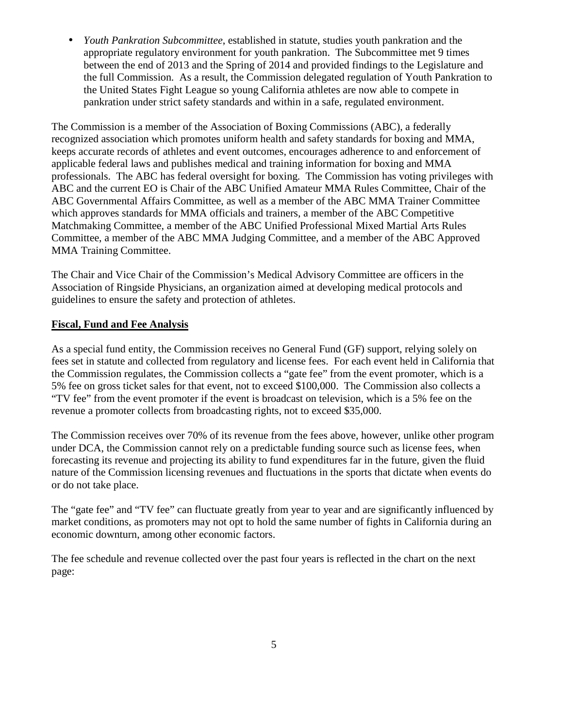• *Youth Pankration Subcommittee*, established in statute, studies youth pankration and the appropriate regulatory environment for youth pankration. The Subcommittee met 9 times between the end of 2013 and the Spring of 2014 and provided findings to the Legislature and the full Commission. As a result, the Commission delegated regulation of Youth Pankration to the United States Fight League so young California athletes are now able to compete in pankration under strict safety standards and within in a safe, regulated environment.

The Commission is a member of the Association of Boxing Commissions (ABC), a federally recognized association which promotes uniform health and safety standards for boxing and MMA, keeps accurate records of athletes and event outcomes, encourages adherence to and enforcement of applicable federal laws and publishes medical and training information for boxing and MMA professionals. The ABC has federal oversight for boxing. The Commission has voting privileges with ABC and the current EO is Chair of the ABC Unified Amateur MMA Rules Committee, Chair of the ABC Governmental Affairs Committee, as well as a member of the ABC MMA Trainer Committee which approves standards for MMA officials and trainers, a member of the ABC Competitive Matchmaking Committee, a member of the ABC Unified Professional Mixed Martial Arts Rules Committee, a member of the ABC MMA Judging Committee, and a member of the ABC Approved MMA Training Committee.

The Chair and Vice Chair of the Commission's Medical Advisory Committee are officers in the Association of Ringside Physicians, an organization aimed at developing medical protocols and guidelines to ensure the safety and protection of athletes.

#### **Fiscal, Fund and Fee Analysis**

As a special fund entity, the Commission receives no General Fund (GF) support, relying solely on fees set in statute and collected from regulatory and license fees. For each event held in California that the Commission regulates, the Commission collects a "gate fee" from the event promoter, which is a 5% fee on gross ticket sales for that event, not to exceed \$100,000. The Commission also collects a "TV fee" from the event promoter if the event is broadcast on television, which is a 5% fee on the revenue a promoter collects from broadcasting rights, not to exceed \$35,000.

The Commission receives over 70% of its revenue from the fees above, however, unlike other program under DCA, the Commission cannot rely on a predictable funding source such as license fees, when forecasting its revenue and projecting its ability to fund expenditures far in the future, given the fluid nature of the Commission licensing revenues and fluctuations in the sports that dictate when events do or do not take place.

The "gate fee" and "TV fee" can fluctuate greatly from year to year and are significantly influenced by market conditions, as promoters may not opt to hold the same number of fights in California during an economic downturn, among other economic factors.

The fee schedule and revenue collected over the past four years is reflected in the chart on the next page: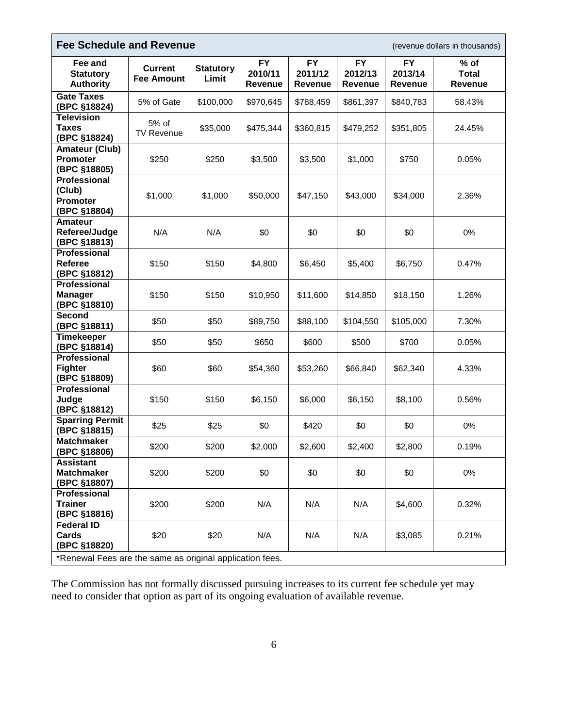| <b>Fee Schedule and Revenue</b><br>(revenue dollars in thousands)                                      |                                     |                           |                                        |                                 |                                        |                                        |                                          |
|--------------------------------------------------------------------------------------------------------|-------------------------------------|---------------------------|----------------------------------------|---------------------------------|----------------------------------------|----------------------------------------|------------------------------------------|
| Fee and<br><b>Statutory</b><br><b>Authority</b>                                                        | <b>Current</b><br><b>Fee Amount</b> | <b>Statutory</b><br>Limit | <b>FY</b><br>2010/11<br><b>Revenue</b> | <b>FY</b><br>2011/12<br>Revenue | <b>FY</b><br>2012/13<br><b>Revenue</b> | <b>FY</b><br>2013/14<br><b>Revenue</b> | $%$ of<br><b>Total</b><br><b>Revenue</b> |
| <b>Gate Taxes</b><br>(BPC §18824)                                                                      | 5% of Gate                          | \$100,000                 | \$970,645                              | \$788,459                       | \$861,397                              | \$840,783                              | 58.43%                                   |
| <b>Television</b><br><b>Taxes</b><br>(BPC §18824)                                                      | 5% of<br><b>TV Revenue</b>          | \$35,000                  | \$475,344                              | \$360,815                       | \$479,252                              | \$351,805                              | 24.45%                                   |
| <b>Amateur (Club)</b><br><b>Promoter</b><br>(BPC §18805)                                               | \$250                               | \$250                     | \$3,500                                | \$3,500                         | \$1,000                                | \$750                                  | 0.05%                                    |
| <b>Professional</b><br>(Club)<br><b>Promoter</b><br>(BPC §18804)                                       | \$1,000                             | \$1,000                   | \$50,000                               | \$47,150                        | \$43,000                               | \$34,000                               | 2.36%                                    |
| <b>Amateur</b><br>Referee/Judge<br>(BPC §18813)                                                        | N/A                                 | N/A                       | \$0                                    | \$0                             | \$0                                    | \$0                                    | 0%                                       |
| <b>Professional</b><br>Referee<br>(BPC §18812)                                                         | \$150                               | \$150                     | \$4,800                                | \$6,450                         | \$5,400                                | \$6,750                                | 0.47%                                    |
| <b>Professional</b><br><b>Manager</b><br>(BPC §18810)                                                  | \$150                               | \$150                     | \$10,950                               | \$11,600                        | \$14,850                               | \$18,150                               | 1.26%                                    |
| Second<br>(BPC §18811)                                                                                 | \$50                                | \$50                      | \$89,750                               | \$88,100                        | \$104,550                              | \$105,000                              | 7.30%                                    |
| <b>Timekeeper</b><br>(BPC §18814)                                                                      | \$50                                | \$50                      | \$650                                  | \$600                           | \$500                                  | \$700                                  | 0.05%                                    |
| Professional<br><b>Fighter</b><br>(BPC §18809)                                                         | \$60                                | \$60                      | \$54,360                               | \$53,260                        | \$66,840                               | \$62,340                               | 4.33%                                    |
| Professional<br>Judge<br>(BPC §18812)                                                                  | \$150                               | \$150                     | \$6,150                                | \$6,000                         | \$6,150                                | \$8,100                                | 0.56%                                    |
| <b>Sparring Permit</b><br>(BPC §18815)                                                                 | \$25                                | \$25                      | \$0                                    | \$420                           | \$0                                    | \$0                                    | 0%                                       |
| <b>Matchmaker</b><br>(BPC §18806)                                                                      | \$200                               | \$200                     | \$2,000                                | \$2,600                         | \$2,400                                | \$2,800                                | 0.19%                                    |
| <b>Assistant</b><br><b>Matchmaker</b><br>(BPC §18807)                                                  | \$200                               | \$200                     | \$0                                    | \$0                             | \$0                                    | \$0                                    | 0%                                       |
| Professional<br><b>Trainer</b><br>(BPC §18816)                                                         | \$200                               | \$200                     | N/A                                    | N/A                             | N/A                                    | \$4,600                                | 0.32%                                    |
| <b>Federal ID</b><br>Cards<br>(BPC §18820)<br>*Renewal Fees are the same as original application fees. | \$20                                | \$20                      | N/A                                    | N/A                             | N/A                                    | \$3,085                                | 0.21%                                    |

The Commission has not formally discussed pursuing increases to its current fee schedule yet may need to consider that option as part of its ongoing evaluation of available revenue.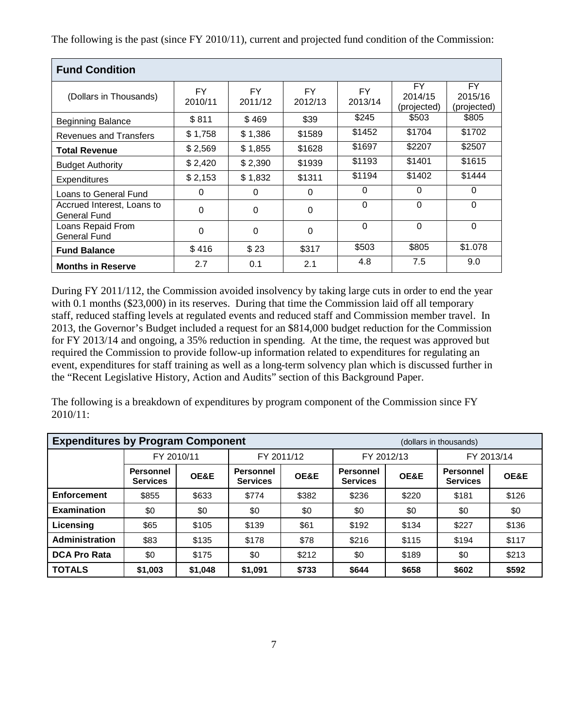The following is the past (since FY 2010/11), current and projected fund condition of the Commission:

| <b>Fund Condition</b>                      |                      |                      |                      |                      |                                     |                               |  |  |
|--------------------------------------------|----------------------|----------------------|----------------------|----------------------|-------------------------------------|-------------------------------|--|--|
| (Dollars in Thousands)                     | <b>FY</b><br>2010/11 | <b>FY</b><br>2011/12 | <b>FY</b><br>2012/13 | <b>FY</b><br>2013/14 | <b>FY</b><br>2014/15<br>(projected) | FY.<br>2015/16<br>(projected) |  |  |
| <b>Beginning Balance</b>                   | \$811                | \$469                | \$39                 | \$245                | \$503                               | \$805                         |  |  |
| <b>Revenues and Transfers</b>              | \$1,758              | \$1,386              | \$1589               | \$1452               | \$1704                              | \$1702                        |  |  |
| <b>Total Revenue</b>                       | \$2,569              | \$1,855              | \$1628               | \$1697               | \$2207                              | \$2507                        |  |  |
| <b>Budget Authority</b>                    | \$2,420              | \$2,390              | \$1939               | \$1193               | \$1401                              | \$1615                        |  |  |
| Expenditures                               | \$2,153              | \$1,832              | \$1311               | \$1194               | \$1402                              | \$1444                        |  |  |
| Loans to General Fund                      | 0                    | 0                    | $\Omega$             | $\Omega$             | $\Omega$                            | $\mathbf{0}$                  |  |  |
| Accrued Interest, Loans to<br>General Fund | $\Omega$             | $\Omega$             | $\Omega$             | $\Omega$             | $\Omega$                            | $\Omega$                      |  |  |
| Loans Repaid From<br>General Fund          | $\Omega$             | $\Omega$             | 0                    | $\Omega$             | $\Omega$                            | $\Omega$                      |  |  |
| <b>Fund Balance</b>                        | \$416                | \$23                 | \$317                | \$503                | \$805                               | \$1,078                       |  |  |
| <b>Months in Reserve</b>                   | 2.7                  | 0.1                  | 2.1                  | 4.8                  | 7.5                                 | 9.0                           |  |  |

During FY 2011/112, the Commission avoided insolvency by taking large cuts in order to end the year with 0.1 months (\$23,000) in its reserves. During that time the Commission laid off all temporary staff, reduced staffing levels at regulated events and reduced staff and Commission member travel. In 2013, the Governor's Budget included a request for an \$814,000 budget reduction for the Commission for FY 2013/14 and ongoing, a 35% reduction in spending. At the time, the request was approved but required the Commission to provide follow-up information related to expenditures for regulating an event, expenditures for staff training as well as a long-term solvency plan which is discussed further in the "Recent Legislative History, Action and Audits" section of this Background Paper.

The following is a breakdown of expenditures by program component of the Commission since FY 2010/11:

| <b>Expenditures by Program Component</b> |                                     |         |                                     |       | (dollars in thousands)              |       |                                     |       |
|------------------------------------------|-------------------------------------|---------|-------------------------------------|-------|-------------------------------------|-------|-------------------------------------|-------|
|                                          | FY 2010/11                          |         | FY 2011/12                          |       | FY 2012/13                          |       | FY 2013/14                          |       |
|                                          | <b>Personnel</b><br><b>Services</b> | OE&E    | <b>Personnel</b><br><b>Services</b> | OE&E  | <b>Personnel</b><br><b>Services</b> | OE&E  | <b>Personnel</b><br><b>Services</b> | OE&E  |
| <b>Enforcement</b>                       | \$855                               | \$633   | \$774                               | \$382 | \$236                               | \$220 | \$181                               | \$126 |
| <b>Examination</b>                       | \$0                                 | \$0     | \$0                                 | \$0   | \$0                                 | \$0   | \$0                                 | \$0   |
| Licensing                                | \$65                                | \$105   | \$139                               | \$61  | \$192                               | \$134 | \$227                               | \$136 |
| Administration                           | \$83                                | \$135   | \$178                               | \$78  | \$216                               | \$115 | \$194                               | \$117 |
| <b>DCA Pro Rata</b>                      | \$0                                 | \$175   | \$0                                 | \$212 | \$0                                 | \$189 | \$0                                 | \$213 |
| <b>TOTALS</b>                            | \$1,003                             | \$1,048 | \$1,091                             | \$733 | \$644                               | \$658 | \$602                               | \$592 |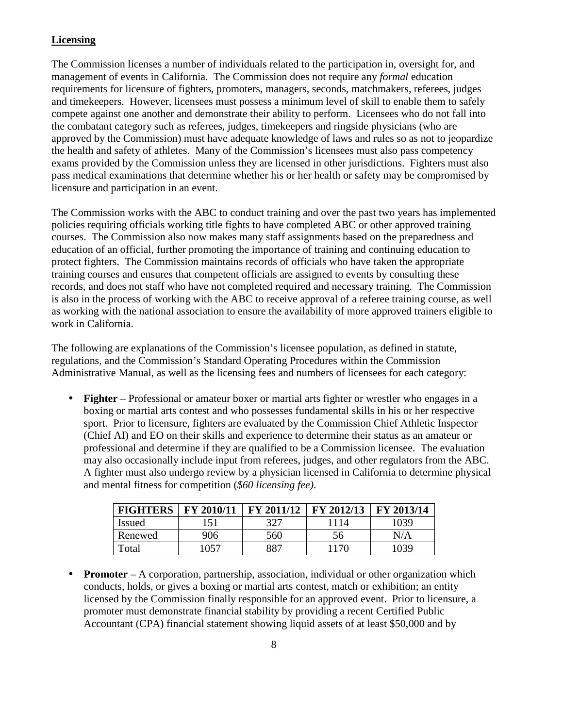## **Licensing**

The Commission licenses a number of individuals related to the participation in, oversight for, and management of events in California. The Commission does not require any *formal* education requirements for licensure of fighters, promoters, managers, seconds, matchmakers, referees, judges and timekeepers. However, licensees must possess a minimum level of skill to enable them to safely compete against one another and demonstrate their ability to perform. Licensees who do not fall into the combatant category such as referees, judges, timekeepers and ringside physicians (who are approved by the Commission) must have adequate knowledge of laws and rules so as not to jeopardize the health and safety of athletes. Many of the Commission's licensees must also pass competency exams provided by the Commission unless they are licensed in other jurisdictions. Fighters must also pass medical examinations that determine whether his or her health or safety may be compromised by licensure and participation in an event.

The Commission works with the ABC to conduct training and over the past two years has implemented policies requiring officials working title fights to have completed ABC or other approved training courses. The Commission also now makes many staff assignments based on the preparedness and education of an official, further promoting the importance of training and continuing education to protect fighters. The Commission maintains records of officials who have taken the appropriate training courses and ensures that competent officials are assigned to events by consulting these records, and does not staff who have not completed required and necessary training. The Commission is also in the process of working with the ABC to receive approval of a referee training course, as well as working with the national association to ensure the availability of more approved trainers eligible to work in California.

The following are explanations of the Commission's licensee population, as defined in statute, regulations, and the Commission's Standard Operating Procedures within the Commission Administrative Manual, as well as the licensing fees and numbers of licensees for each category:

• **Fighter** – Professional or amateur boxer or martial arts fighter or wrestler who engages in a boxing or martial arts contest and who possesses fundamental skills in his or her respective sport. Prior to licensure, fighters are evaluated by the Commission Chief Athletic Inspector (Chief AI) and EO on their skills and experience to determine their status as an amateur or professional and determine if they are qualified to be a Commission licensee. The evaluation may also occasionally include input from referees, judges, and other regulators from the ABC. A fighter must also undergo review by a physician licensed in California to determine physical and mental fitness for competition (*\$60 licensing fee)*.

| <b>FIGHTERS</b> | FY 2010/11 | <b>FY 2011/12</b> | $\vert$ FY 2012/13 | FY 2013/14 |
|-----------------|------------|-------------------|--------------------|------------|
| <b>Issued</b>   | 151        | 327               | 1114               | 1039       |
| Renewed         | 906        | 560               | 56                 | N/A        |
| Total           | 1057       | 887               | 1170               | 1039       |

• **Promoter** – A corporation, partnership, association, individual or other organization which conducts, holds, or gives a boxing or martial arts contest, match or exhibition; an entity licensed by the Commission finally responsible for an approved event. Prior to licensure, a promoter must demonstrate financial stability by providing a recent Certified Public Accountant (CPA) financial statement showing liquid assets of at least \$50,000 and by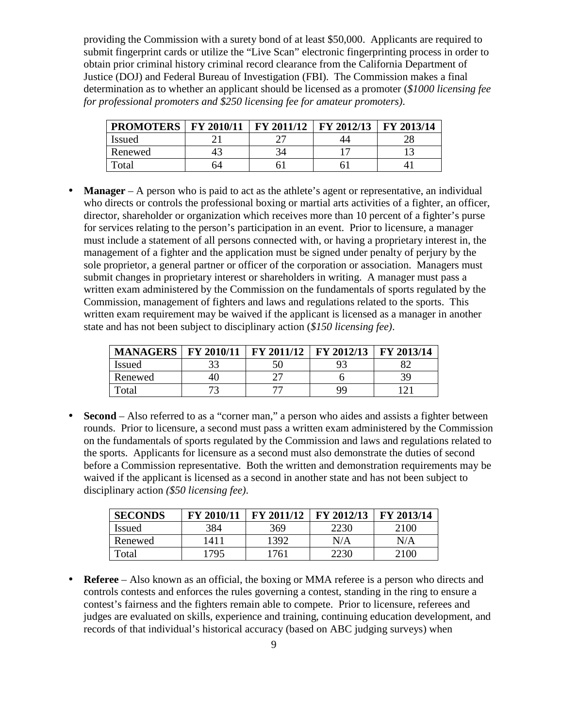providing the Commission with a surety bond of at least \$50,000. Applicants are required to submit fingerprint cards or utilize the "Live Scan" electronic fingerprinting process in order to obtain prior criminal history criminal record clearance from the California Department of Justice (DOJ) and Federal Bureau of Investigation (FBI). The Commission makes a final determination as to whether an applicant should be licensed as a promoter (*\$1000 licensing fee for professional promoters and \$250 licensing fee for amateur promoters)*.

| <b>PROMOTERS</b> | FY 2010/11 | FY 2011/12 | FY 2012/13 | FY 2013/14 |
|------------------|------------|------------|------------|------------|
| Issued           |            |            |            | ۷Ο         |
| Renewed          | 4.         |            |            |            |
| Total            | ገ4         |            |            |            |

• **Manager** – A person who is paid to act as the athlete's agent or representative, an individual who directs or controls the professional boxing or martial arts activities of a fighter, an officer, director, shareholder or organization which receives more than 10 percent of a fighter's purse for services relating to the person's participation in an event. Prior to licensure, a manager must include a statement of all persons connected with, or having a proprietary interest in, the management of a fighter and the application must be signed under penalty of perjury by the sole proprietor, a general partner or officer of the corporation or association. Managers must submit changes in proprietary interest or shareholders in writing. A manager must pass a written exam administered by the Commission on the fundamentals of sports regulated by the Commission, management of fighters and laws and regulations related to the sports. This written exam requirement may be waived if the applicant is licensed as a manager in another state and has not been subject to disciplinary action (*\$150 licensing fee)*.

| <b>MANAGERS   FY 2010/11</b> |    | <b>FY 2011/12</b> | FY 2012/13 | FY 2013/14 |
|------------------------------|----|-------------------|------------|------------|
| <b>Issued</b>                |    | 50                |            |            |
| Renewed                      | 40 |                   |            |            |
| Total                        |    |                   | QQ         |            |

• **Second** – Also referred to as a "corner man," a person who aides and assists a fighter between rounds. Prior to licensure, a second must pass a written exam administered by the Commission on the fundamentals of sports regulated by the Commission and laws and regulations related to the sports. Applicants for licensure as a second must also demonstrate the duties of second before a Commission representative. Both the written and demonstration requirements may be waived if the applicant is licensed as a second in another state and has not been subject to disciplinary action *(\$50 licensing fee)*.

| <b>SECONDS</b> | FY 2010/11 | FY 2011/12 | FY 2012/13 | FY 2013/14 |
|----------------|------------|------------|------------|------------|
| <b>Issued</b>  | 384        | 369        | 2230       | 2100       |
| Renewed        | 1411       | 1392       | N/A        | N/A        |
| Total          | 795        | 761        | 2230       | 2100       |

• **Referee** – Also known as an official, the boxing or MMA referee is a person who directs and controls contests and enforces the rules governing a contest, standing in the ring to ensure a contest's fairness and the fighters remain able to compete. Prior to licensure, referees and judges are evaluated on skills, experience and training, continuing education development, and records of that individual's historical accuracy (based on ABC judging surveys) when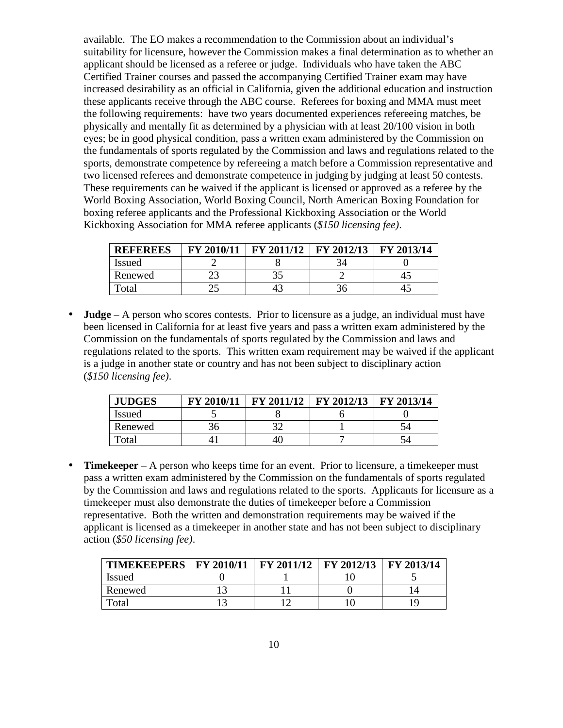available. The EO makes a recommendation to the Commission about an individual's suitability for licensure, however the Commission makes a final determination as to whether an applicant should be licensed as a referee or judge. Individuals who have taken the ABC Certified Trainer courses and passed the accompanying Certified Trainer exam may have increased desirability as an official in California, given the additional education and instruction these applicants receive through the ABC course. Referees for boxing and MMA must meet the following requirements: have two years documented experiences refereeing matches, be physically and mentally fit as determined by a physician with at least 20/100 vision in both eyes; be in good physical condition, pass a written exam administered by the Commission on the fundamentals of sports regulated by the Commission and laws and regulations related to the sports, demonstrate competence by refereeing a match before a Commission representative and two licensed referees and demonstrate competence in judging by judging at least 50 contests. These requirements can be waived if the applicant is licensed or approved as a referee by the World Boxing Association, World Boxing Council, North American Boxing Foundation for boxing referee applicants and the Professional Kickboxing Association or the World Kickboxing Association for MMA referee applicants (*\$150 licensing fee)*.

| <b>REFEREES</b> | FY 2010/11 | FY 2011/12 | FY 2012/13 | FY 2013/14 |
|-----------------|------------|------------|------------|------------|
| Issued          |            |            |            |            |
| Renewed         |            | ر ر        |            |            |
| Total           | ر ت        |            |            |            |

• **Judge** – A person who scores contests. Prior to licensure as a judge, an individual must have been licensed in California for at least five years and pass a written exam administered by the Commission on the fundamentals of sports regulated by the Commission and laws and regulations related to the sports. This written exam requirement may be waived if the applicant is a judge in another state or country and has not been subject to disciplinary action (*\$150 licensing fee)*.

| <b>JUDGES</b> | FY 2010/11 | FY 2011/12 | FY 2012/13 | FY 2013/14 |
|---------------|------------|------------|------------|------------|
| <i>Issued</i> |            |            |            |            |
| Renewed       |            | າາ         |            |            |
| Total         |            | 4U         |            |            |

• **Timekeeper** – A person who keeps time for an event. Prior to licensure, a timekeeper must pass a written exam administered by the Commission on the fundamentals of sports regulated by the Commission and laws and regulations related to the sports. Applicants for licensure as a timekeeper must also demonstrate the duties of timekeeper before a Commission representative. Both the written and demonstration requirements may be waived if the applicant is licensed as a timekeeper in another state and has not been subject to disciplinary action (*\$50 licensing fee)*.

| TIMEKEEPERS   FY 2010/11   FY 2011/12   FY 2012/13   FY 2013/14 |  |  |
|-----------------------------------------------------------------|--|--|
| <b>Issued</b>                                                   |  |  |
| Renewed                                                         |  |  |
| $\Gamma$ otal                                                   |  |  |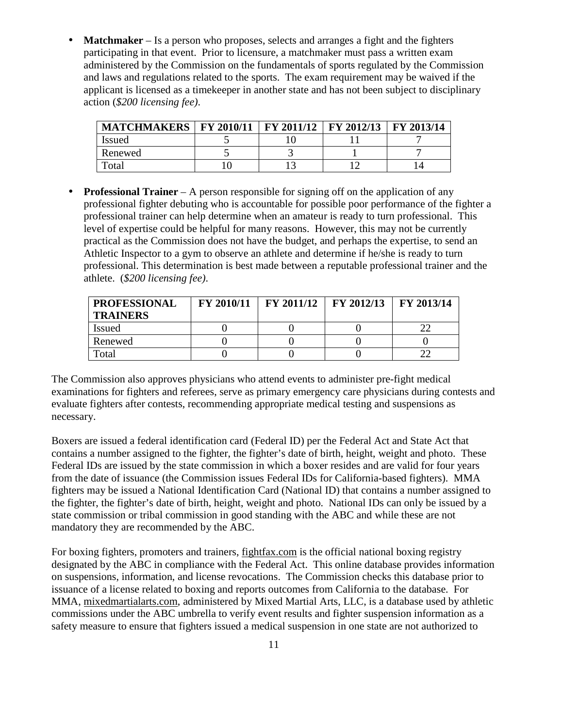• **Matchmaker** – Is a person who proposes, selects and arranges a fight and the fighters participating in that event. Prior to licensure, a matchmaker must pass a written exam administered by the Commission on the fundamentals of sports regulated by the Commission and laws and regulations related to the sports. The exam requirement may be waived if the applicant is licensed as a timekeeper in another state and has not been subject to disciplinary action (*\$200 licensing fee)*.

| <b>MATCHMAKERS</b> | FY 2010/11   FY 2011/12   FY 2012/13 |  | <b>FY 2013/14</b> |
|--------------------|--------------------------------------|--|-------------------|
| <b>Issued</b>      |                                      |  |                   |
| Renewed            |                                      |  |                   |
| Total              |                                      |  |                   |

**Professional Trainer** – A person responsible for signing off on the application of any professional fighter debuting who is accountable for possible poor performance of the fighter a professional trainer can help determine when an amateur is ready to turn professional. This level of expertise could be helpful for many reasons. However, this may not be currently practical as the Commission does not have the budget, and perhaps the expertise, to send an Athletic Inspector to a gym to observe an athlete and determine if he/she is ready to turn professional. This determination is best made between a reputable professional trainer and the athlete. (*\$200 licensing fee)*.

| <b>PROFESSIONAL</b><br><b>TRAINERS</b> | <b>FY 2010/11</b> | $\text{FY } 2011/12 \text{ IFY } 2012/13$ | $\mid$ FY 2013/14 |
|----------------------------------------|-------------------|-------------------------------------------|-------------------|
| <b>Issued</b>                          |                   |                                           |                   |
| Renewed                                |                   |                                           |                   |
| Total                                  |                   |                                           |                   |

The Commission also approves physicians who attend events to administer pre-fight medical examinations for fighters and referees, serve as primary emergency care physicians during contests and evaluate fighters after contests, recommending appropriate medical testing and suspensions as necessary.

Boxers are issued a federal identification card (Federal ID) per the Federal Act and State Act that contains a number assigned to the fighter, the fighter's date of birth, height, weight and photo. These Federal IDs are issued by the state commission in which a boxer resides and are valid for four years from the date of issuance (the Commission issues Federal IDs for California-based fighters). MMA fighters may be issued a National Identification Card (National ID) that contains a number assigned to the fighter, the fighter's date of birth, height, weight and photo. National IDs can only be issued by a state commission or tribal commission in good standing with the ABC and while these are not mandatory they are recommended by the ABC.

For boxing fighters, promoters and trainers, fightfax.com is the official national boxing registry designated by the ABC in compliance with the Federal Act. This online database provides information on suspensions, information, and license revocations. The Commission checks this database prior to issuance of a license related to boxing and reports outcomes from California to the database. For MMA, mixedmartialarts.com, administered by Mixed Martial Arts, LLC, is a database used by athletic commissions under the ABC umbrella to verify event results and fighter suspension information as a safety measure to ensure that fighters issued a medical suspension in one state are not authorized to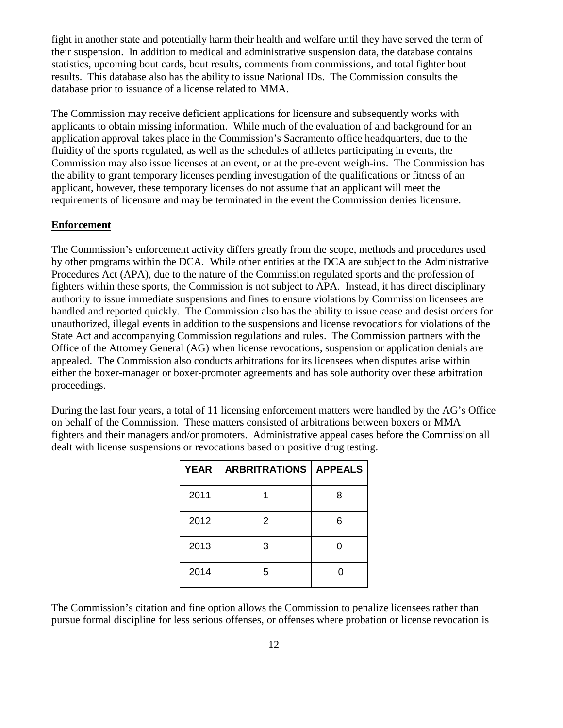fight in another state and potentially harm their health and welfare until they have served the term of their suspension. In addition to medical and administrative suspension data, the database contains statistics, upcoming bout cards, bout results, comments from commissions, and total fighter bout results. This database also has the ability to issue National IDs. The Commission consults the database prior to issuance of a license related to MMA.

The Commission may receive deficient applications for licensure and subsequently works with applicants to obtain missing information. While much of the evaluation of and background for an application approval takes place in the Commission's Sacramento office headquarters, due to the fluidity of the sports regulated, as well as the schedules of athletes participating in events, the Commission may also issue licenses at an event, or at the pre-event weigh-ins. The Commission has the ability to grant temporary licenses pending investigation of the qualifications or fitness of an applicant, however, these temporary licenses do not assume that an applicant will meet the requirements of licensure and may be terminated in the event the Commission denies licensure.

#### **Enforcement**

The Commission's enforcement activity differs greatly from the scope, methods and procedures used by other programs within the DCA. While other entities at the DCA are subject to the Administrative Procedures Act (APA), due to the nature of the Commission regulated sports and the profession of fighters within these sports, the Commission is not subject to APA. Instead, it has direct disciplinary authority to issue immediate suspensions and fines to ensure violations by Commission licensees are handled and reported quickly. The Commission also has the ability to issue cease and desist orders for unauthorized, illegal events in addition to the suspensions and license revocations for violations of the State Act and accompanying Commission regulations and rules. The Commission partners with the Office of the Attorney General (AG) when license revocations, suspension or application denials are appealed. The Commission also conducts arbitrations for its licensees when disputes arise within either the boxer-manager or boxer-promoter agreements and has sole authority over these arbitration proceedings.

During the last four years, a total of 11 licensing enforcement matters were handled by the AG's Office on behalf of the Commission. These matters consisted of arbitrations between boxers or MMA fighters and their managers and/or promoters. Administrative appeal cases before the Commission all dealt with license suspensions or revocations based on positive drug testing.

| <b>YEAR</b> | <b>ARBRITRATIONS   APPEALS</b> |   |
|-------------|--------------------------------|---|
| 2011        |                                | 8 |
| 2012        | 2                              | 6 |
| 2013        | З                              |   |
| 2014        | 5                              | ი |

The Commission's citation and fine option allows the Commission to penalize licensees rather than pursue formal discipline for less serious offenses, or offenses where probation or license revocation is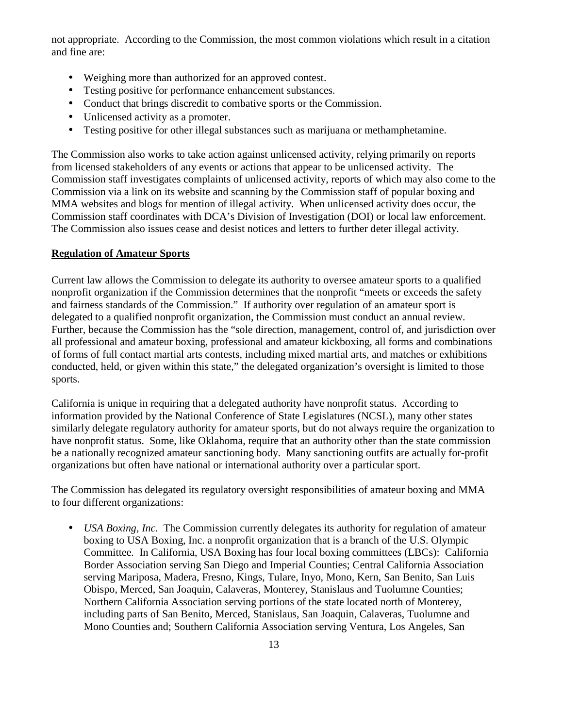not appropriate. According to the Commission, the most common violations which result in a citation and fine are:

- Weighing more than authorized for an approved contest.
- Testing positive for performance enhancement substances.
- Conduct that brings discredit to combative sports or the Commission.
- Unlicensed activity as a promoter.
- Testing positive for other illegal substances such as marijuana or methamphetamine.

The Commission also works to take action against unlicensed activity, relying primarily on reports from licensed stakeholders of any events or actions that appear to be unlicensed activity. The Commission staff investigates complaints of unlicensed activity, reports of which may also come to the Commission via a link on its website and scanning by the Commission staff of popular boxing and MMA websites and blogs for mention of illegal activity. When unlicensed activity does occur, the Commission staff coordinates with DCA's Division of Investigation (DOI) or local law enforcement. The Commission also issues cease and desist notices and letters to further deter illegal activity.

#### **Regulation of Amateur Sports**

Current law allows the Commission to delegate its authority to oversee amateur sports to a qualified nonprofit organization if the Commission determines that the nonprofit "meets or exceeds the safety and fairness standards of the Commission." If authority over regulation of an amateur sport is delegated to a qualified nonprofit organization, the Commission must conduct an annual review. Further, because the Commission has the "sole direction, management, control of, and jurisdiction over all professional and amateur boxing, professional and amateur kickboxing, all forms and combinations of forms of full contact martial arts contests, including mixed martial arts, and matches or exhibitions conducted, held, or given within this state," the delegated organization's oversight is limited to those sports.

California is unique in requiring that a delegated authority have nonprofit status. According to information provided by the National Conference of State Legislatures (NCSL), many other states similarly delegate regulatory authority for amateur sports, but do not always require the organization to have nonprofit status. Some, like Oklahoma, require that an authority other than the state commission be a nationally recognized amateur sanctioning body. Many sanctioning outfits are actually for-profit organizations but often have national or international authority over a particular sport.

The Commission has delegated its regulatory oversight responsibilities of amateur boxing and MMA to four different organizations:

• *USA Boxing, Inc.* The Commission currently delegates its authority for regulation of amateur boxing to USA Boxing, Inc. a nonprofit organization that is a branch of the U.S. Olympic Committee. In California, USA Boxing has four local boxing committees (LBCs): California Border Association serving San Diego and Imperial Counties; Central California Association serving Mariposa, Madera, Fresno, Kings, Tulare, Inyo, Mono, Kern, San Benito, San Luis Obispo, Merced, San Joaquin, Calaveras, Monterey, Stanislaus and Tuolumne Counties; Northern California Association serving portions of the state located north of Monterey, including parts of San Benito, Merced, Stanislaus, San Joaquin, Calaveras, Tuolumne and Mono Counties and; Southern California Association serving Ventura, Los Angeles, San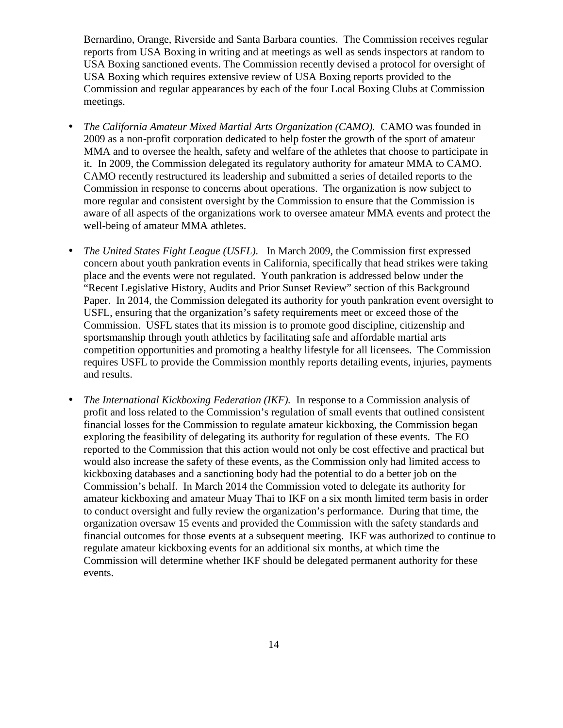Bernardino, Orange, Riverside and Santa Barbara counties. The Commission receives regular reports from USA Boxing in writing and at meetings as well as sends inspectors at random to USA Boxing sanctioned events. The Commission recently devised a protocol for oversight of USA Boxing which requires extensive review of USA Boxing reports provided to the Commission and regular appearances by each of the four Local Boxing Clubs at Commission meetings.

- *The California Amateur Mixed Martial Arts Organization (CAMO).* CAMO was founded in 2009 as a non-profit corporation dedicated to help foster the growth of the sport of amateur MMA and to oversee the health, safety and welfare of the athletes that choose to participate in it*.* In 2009, the Commission delegated its regulatory authority for amateur MMA to CAMO. CAMO recently restructured its leadership and submitted a series of detailed reports to the Commission in response to concerns about operations. The organization is now subject to more regular and consistent oversight by the Commission to ensure that the Commission is aware of all aspects of the organizations work to oversee amateur MMA events and protect the well-being of amateur MMA athletes.
- *The United States Fight League (USFL).* In March 2009, the Commission first expressed concern about youth pankration events in California, specifically that head strikes were taking place and the events were not regulated. Youth pankration is addressed below under the "Recent Legislative History, Audits and Prior Sunset Review" section of this Background Paper. In 2014, the Commission delegated its authority for youth pankration event oversight to USFL, ensuring that the organization's safety requirements meet or exceed those of the Commission. USFL states that its mission is to promote good discipline, citizenship and sportsmanship through youth athletics by facilitating safe and affordable martial arts competition opportunities and promoting a healthy lifestyle for all licensees. The Commission requires USFL to provide the Commission monthly reports detailing events, injuries, payments and results.
- *The International Kickboxing Federation (IKF).* In response to a Commission analysis of profit and loss related to the Commission's regulation of small events that outlined consistent financial losses for the Commission to regulate amateur kickboxing, the Commission began exploring the feasibility of delegating its authority for regulation of these events. The EO reported to the Commission that this action would not only be cost effective and practical but would also increase the safety of these events, as the Commission only had limited access to kickboxing databases and a sanctioning body had the potential to do a better job on the Commission's behalf. In March 2014 the Commission voted to delegate its authority for amateur kickboxing and amateur Muay Thai to IKF on a six month limited term basis in order to conduct oversight and fully review the organization's performance. During that time, the organization oversaw 15 events and provided the Commission with the safety standards and financial outcomes for those events at a subsequent meeting. IKF was authorized to continue to regulate amateur kickboxing events for an additional six months, at which time the Commission will determine whether IKF should be delegated permanent authority for these events.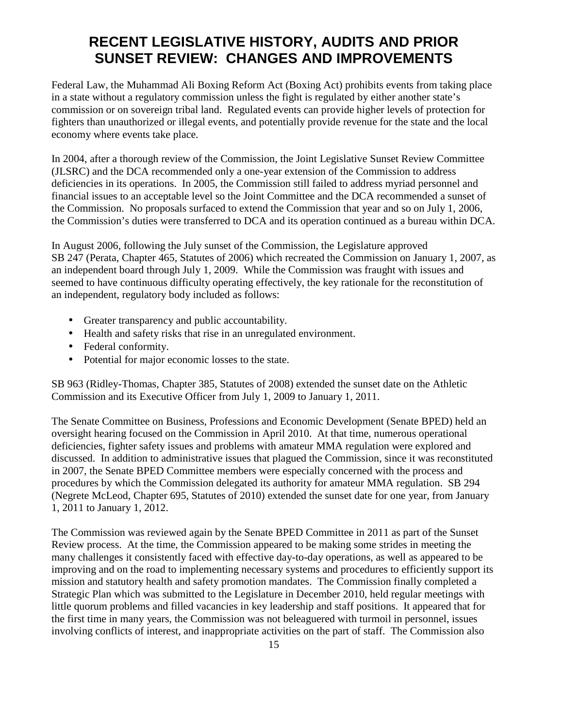## **RECENT LEGISLATIVE HISTORY, AUDITS AND PRIOR SUNSET REVIEW: CHANGES AND IMPROVEMENTS**

Federal Law, the Muhammad Ali Boxing Reform Act (Boxing Act) prohibits events from taking place in a state without a regulatory commission unless the fight is regulated by either another state's commission or on sovereign tribal land. Regulated events can provide higher levels of protection for fighters than unauthorized or illegal events, and potentially provide revenue for the state and the local economy where events take place.

In 2004, after a thorough review of the Commission, the Joint Legislative Sunset Review Committee (JLSRC) and the DCA recommended only a one-year extension of the Commission to address deficiencies in its operations. In 2005, the Commission still failed to address myriad personnel and financial issues to an acceptable level so the Joint Committee and the DCA recommended a sunset of the Commission. No proposals surfaced to extend the Commission that year and so on July 1, 2006, the Commission's duties were transferred to DCA and its operation continued as a bureau within DCA.

In August 2006, following the July sunset of the Commission, the Legislature approved SB 247 (Perata, Chapter 465, Statutes of 2006) which recreated the Commission on January 1, 2007, as an independent board through July 1, 2009. While the Commission was fraught with issues and seemed to have continuous difficulty operating effectively, the key rationale for the reconstitution of an independent, regulatory body included as follows:

- Greater transparency and public accountability.
- Health and safety risks that rise in an unregulated environment.
- Federal conformity.
- Potential for major economic losses to the state.

SB 963 (Ridley-Thomas, Chapter 385, Statutes of 2008) extended the sunset date on the Athletic Commission and its Executive Officer from July 1, 2009 to January 1, 2011.

The Senate Committee on Business, Professions and Economic Development (Senate BPED) held an oversight hearing focused on the Commission in April 2010. At that time, numerous operational deficiencies, fighter safety issues and problems with amateur MMA regulation were explored and discussed. In addition to administrative issues that plagued the Commission, since it was reconstituted in 2007, the Senate BPED Committee members were especially concerned with the process and procedures by which the Commission delegated its authority for amateur MMA regulation. SB 294 (Negrete McLeod, Chapter 695, Statutes of 2010) extended the sunset date for one year, from January 1, 2011 to January 1, 2012.

The Commission was reviewed again by the Senate BPED Committee in 2011 as part of the Sunset Review process. At the time, the Commission appeared to be making some strides in meeting the many challenges it consistently faced with effective day-to-day operations, as well as appeared to be improving and on the road to implementing necessary systems and procedures to efficiently support its mission and statutory health and safety promotion mandates. The Commission finally completed a Strategic Plan which was submitted to the Legislature in December 2010, held regular meetings with little quorum problems and filled vacancies in key leadership and staff positions. It appeared that for the first time in many years, the Commission was not beleaguered with turmoil in personnel, issues involving conflicts of interest, and inappropriate activities on the part of staff. The Commission also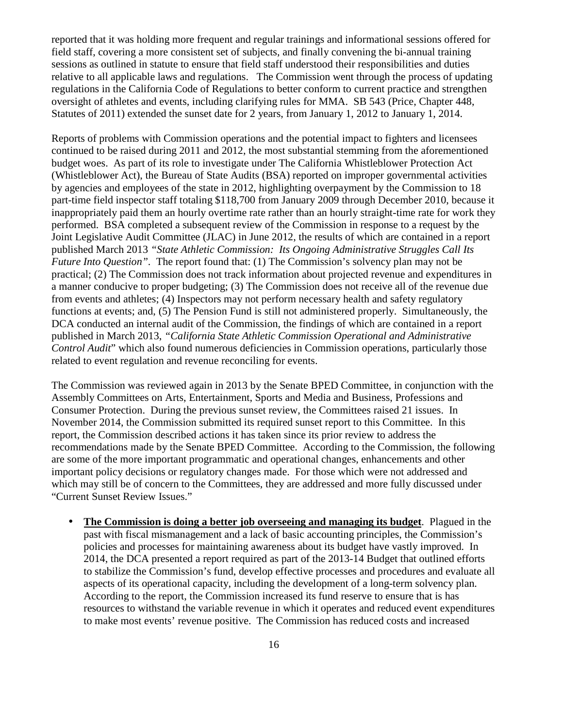reported that it was holding more frequent and regular trainings and informational sessions offered for field staff, covering a more consistent set of subjects, and finally convening the bi-annual training sessions as outlined in statute to ensure that field staff understood their responsibilities and duties relative to all applicable laws and regulations. The Commission went through the process of updating regulations in the California Code of Regulations to better conform to current practice and strengthen oversight of athletes and events, including clarifying rules for MMA. SB 543 (Price, Chapter 448, Statutes of 2011) extended the sunset date for 2 years, from January 1, 2012 to January 1, 2014.

Reports of problems with Commission operations and the potential impact to fighters and licensees continued to be raised during 2011 and 2012, the most substantial stemming from the aforementioned budget woes. As part of its role to investigate under The California Whistleblower Protection Act (Whistleblower Act), the Bureau of State Audits (BSA) reported on improper governmental activities by agencies and employees of the state in 2012, highlighting overpayment by the Commission to 18 part-time field inspector staff totaling \$118,700 from January 2009 through December 2010, because it inappropriately paid them an hourly overtime rate rather than an hourly straight-time rate for work they performed. BSA completed a subsequent review of the Commission in response to a request by the Joint Legislative Audit Committee (JLAC) in June 2012, the results of which are contained in a report published March 2013 *"State Athletic Commission: Its Ongoing Administrative Struggles Call Its Future Into Question"*. The report found that: (1) The Commission's solvency plan may not be practical; (2) The Commission does not track information about projected revenue and expenditures in a manner conducive to proper budgeting; (3) The Commission does not receive all of the revenue due from events and athletes; (4) Inspectors may not perform necessary health and safety regulatory functions at events; and, (5) The Pension Fund is still not administered properly. Simultaneously, the DCA conducted an internal audit of the Commission, the findings of which are contained in a report published in March 2013, *"California State Athletic Commission Operational and Administrative Control Audit*" which also found numerous deficiencies in Commission operations, particularly those related to event regulation and revenue reconciling for events.

The Commission was reviewed again in 2013 by the Senate BPED Committee, in conjunction with the Assembly Committees on Arts, Entertainment, Sports and Media and Business, Professions and Consumer Protection. During the previous sunset review, the Committees raised 21 issues. In November 2014, the Commission submitted its required sunset report to this Committee. In this report, the Commission described actions it has taken since its prior review to address the recommendations made by the Senate BPED Committee. According to the Commission, the following are some of the more important programmatic and operational changes, enhancements and other important policy decisions or regulatory changes made. For those which were not addressed and which may still be of concern to the Committees, they are addressed and more fully discussed under "Current Sunset Review Issues."

• **The Commission is doing a better job overseeing and managing its budget**. Plagued in the past with fiscal mismanagement and a lack of basic accounting principles, the Commission's policies and processes for maintaining awareness about its budget have vastly improved. In 2014, the DCA presented a report required as part of the 2013-14 Budget that outlined efforts to stabilize the Commission's fund, develop effective processes and procedures and evaluate all aspects of its operational capacity, including the development of a long-term solvency plan. According to the report, the Commission increased its fund reserve to ensure that is has resources to withstand the variable revenue in which it operates and reduced event expenditures to make most events' revenue positive. The Commission has reduced costs and increased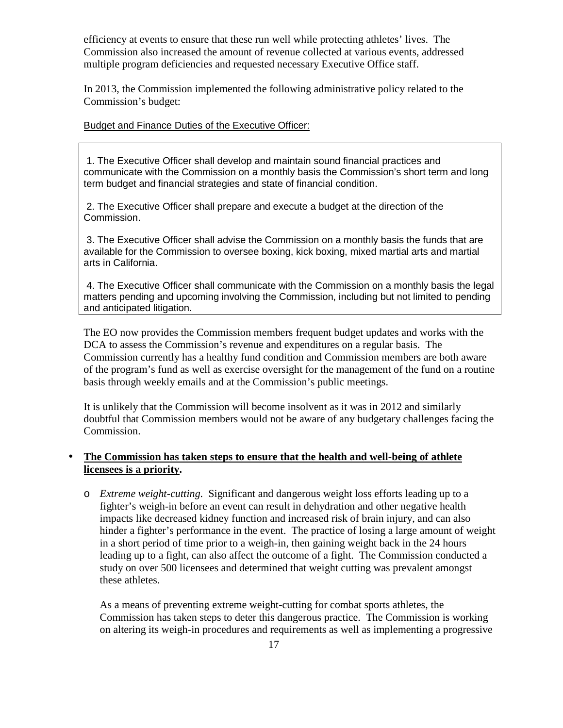efficiency at events to ensure that these run well while protecting athletes' lives. The Commission also increased the amount of revenue collected at various events, addressed multiple program deficiencies and requested necessary Executive Office staff.

In 2013, the Commission implemented the following administrative policy related to the Commission's budget:

#### Budget and Finance Duties of the Executive Officer:

 1. The Executive Officer shall develop and maintain sound financial practices and communicate with the Commission on a monthly basis the Commission's short term and long term budget and financial strategies and state of financial condition.

 2. The Executive Officer shall prepare and execute a budget at the direction of the Commission.

 3. The Executive Officer shall advise the Commission on a monthly basis the funds that are available for the Commission to oversee boxing, kick boxing, mixed martial arts and martial arts in California.

 4. The Executive Officer shall communicate with the Commission on a monthly basis the legal matters pending and upcoming involving the Commission, including but not limited to pending and anticipated litigation.

The EO now provides the Commission members frequent budget updates and works with the DCA to assess the Commission's revenue and expenditures on a regular basis. The Commission currently has a healthy fund condition and Commission members are both aware of the program's fund as well as exercise oversight for the management of the fund on a routine basis through weekly emails and at the Commission's public meetings.

It is unlikely that the Commission will become insolvent as it was in 2012 and similarly doubtful that Commission members would not be aware of any budgetary challenges facing the Commission.

#### • **The Commission has taken steps to ensure that the health and well-being of athlete licensees is a priority.**

o *Extreme weight-cutting*. Significant and dangerous weight loss efforts leading up to a fighter's weigh-in before an event can result in dehydration and other negative health impacts like decreased kidney function and increased risk of brain injury, and can also hinder a fighter's performance in the event. The practice of losing a large amount of weight in a short period of time prior to a weigh-in, then gaining weight back in the 24 hours leading up to a fight, can also affect the outcome of a fight. The Commission conducted a study on over 500 licensees and determined that weight cutting was prevalent amongst these athletes.

As a means of preventing extreme weight-cutting for combat sports athletes, the Commission has taken steps to deter this dangerous practice. The Commission is working on altering its weigh-in procedures and requirements as well as implementing a progressive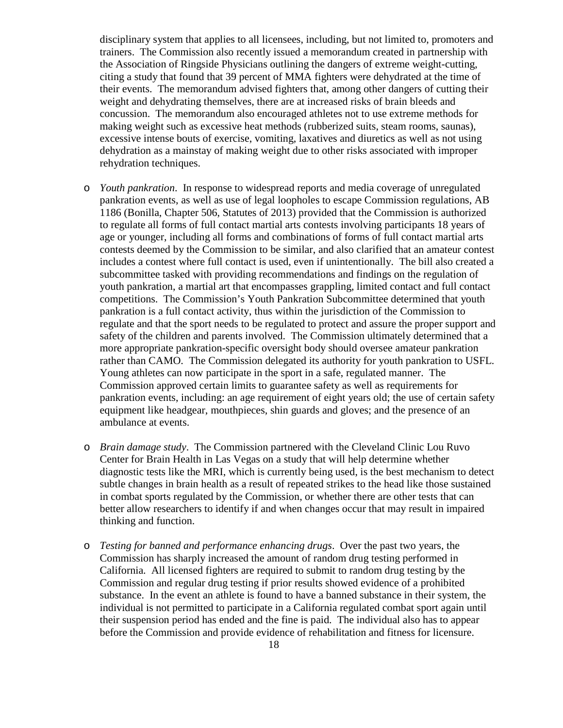disciplinary system that applies to all licensees, including, but not limited to, promoters and trainers. The Commission also recently issued a memorandum created in partnership with the Association of Ringside Physicians outlining the dangers of extreme weight-cutting, citing a study that found that 39 percent of MMA fighters were dehydrated at the time of their events. The memorandum advised fighters that, among other dangers of cutting their weight and dehydrating themselves, there are at increased risks of brain bleeds and concussion. The memorandum also encouraged athletes not to use extreme methods for making weight such as excessive heat methods (rubberized suits, steam rooms, saunas), excessive intense bouts of exercise, vomiting, laxatives and diuretics as well as not using dehydration as a mainstay of making weight due to other risks associated with improper rehydration techniques.

- o *Youth pankration*. In response to widespread reports and media coverage of unregulated pankration events, as well as use of legal loopholes to escape Commission regulations, AB 1186 (Bonilla, Chapter 506, Statutes of 2013) provided that the Commission is authorized to regulate all forms of full contact martial arts contests involving participants 18 years of age or younger, including all forms and combinations of forms of full contact martial arts contests deemed by the Commission to be similar, and also clarified that an amateur contest includes a contest where full contact is used, even if unintentionally. The bill also created a subcommittee tasked with providing recommendations and findings on the regulation of youth pankration, a martial art that encompasses grappling, limited contact and full contact competitions. The Commission's Youth Pankration Subcommittee determined that youth pankration is a full contact activity, thus within the jurisdiction of the Commission to regulate and that the sport needs to be regulated to protect and assure the proper support and safety of the children and parents involved. The Commission ultimately determined that a more appropriate pankration-specific oversight body should oversee amateur pankration rather than CAMO. The Commission delegated its authority for youth pankration to USFL. Young athletes can now participate in the sport in a safe, regulated manner. The Commission approved certain limits to guarantee safety as well as requirements for pankration events, including: an age requirement of eight years old; the use of certain safety equipment like headgear, mouthpieces, shin guards and gloves; and the presence of an ambulance at events.
- o *Brain damage study*. The Commission partnered with the Cleveland Clinic Lou Ruvo Center for Brain Health in Las Vegas on a study that will help determine whether diagnostic tests like the MRI, which is currently being used, is the best mechanism to detect subtle changes in brain health as a result of repeated strikes to the head like those sustained in combat sports regulated by the Commission, or whether there are other tests that can better allow researchers to identify if and when changes occur that may result in impaired thinking and function.
- o *Testing for banned and performance enhancing drugs*. Over the past two years, the Commission has sharply increased the amount of random drug testing performed in California. All licensed fighters are required to submit to random drug testing by the Commission and regular drug testing if prior results showed evidence of a prohibited substance. In the event an athlete is found to have a banned substance in their system, the individual is not permitted to participate in a California regulated combat sport again until their suspension period has ended and the fine is paid. The individual also has to appear before the Commission and provide evidence of rehabilitation and fitness for licensure.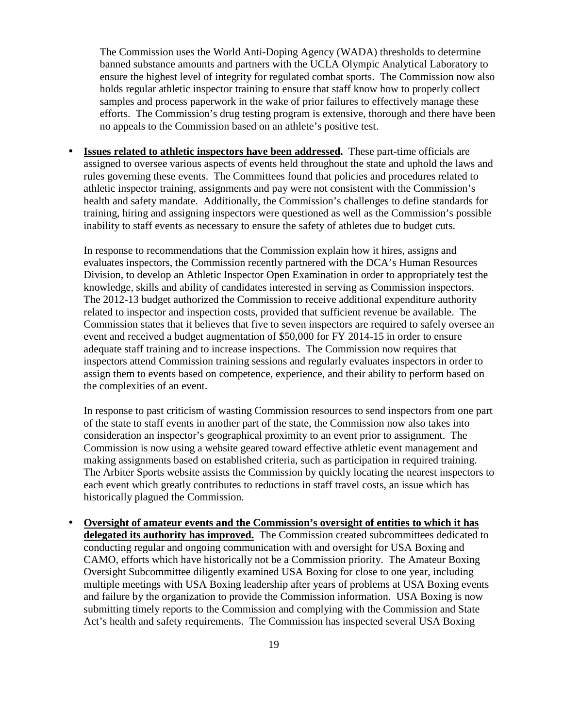The Commission uses the World Anti-Doping Agency (WADA) thresholds to determine banned substance amounts and partners with the UCLA Olympic Analytical Laboratory to ensure the highest level of integrity for regulated combat sports. The Commission now also holds regular athletic inspector training to ensure that staff know how to properly collect samples and process paperwork in the wake of prior failures to effectively manage these efforts. The Commission's drug testing program is extensive, thorough and there have been no appeals to the Commission based on an athlete's positive test.

• **Issues related to athletic inspectors have been addressed.** These part-time officials are assigned to oversee various aspects of events held throughout the state and uphold the laws and rules governing these events. The Committees found that policies and procedures related to athletic inspector training, assignments and pay were not consistent with the Commission's health and safety mandate. Additionally, the Commission's challenges to define standards for training, hiring and assigning inspectors were questioned as well as the Commission's possible inability to staff events as necessary to ensure the safety of athletes due to budget cuts.

In response to recommendations that the Commission explain how it hires, assigns and evaluates inspectors, the Commission recently partnered with the DCA's Human Resources Division, to develop an Athletic Inspector Open Examination in order to appropriately test the knowledge, skills and ability of candidates interested in serving as Commission inspectors. The 2012-13 budget authorized the Commission to receive additional expenditure authority related to inspector and inspection costs, provided that sufficient revenue be available. The Commission states that it believes that five to seven inspectors are required to safely oversee an event and received a budget augmentation of \$50,000 for FY 2014-15 in order to ensure adequate staff training and to increase inspections. The Commission now requires that inspectors attend Commission training sessions and regularly evaluates inspectors in order to assign them to events based on competence, experience, and their ability to perform based on the complexities of an event.

In response to past criticism of wasting Commission resources to send inspectors from one part of the state to staff events in another part of the state, the Commission now also takes into consideration an inspector's geographical proximity to an event prior to assignment. The Commission is now using a website geared toward effective athletic event management and making assignments based on established criteria, such as participation in required training. The Arbiter Sports website assists the Commission by quickly locating the nearest inspectors to each event which greatly contributes to reductions in staff travel costs, an issue which has historically plagued the Commission.

• **Oversight of amateur events and the Commission's oversight of entities to which it has delegated its authority has improved.** The Commission created subcommittees dedicated to conducting regular and ongoing communication with and oversight for USA Boxing and CAMO, efforts which have historically not be a Commission priority. The Amateur Boxing Oversight Subcommittee diligently examined USA Boxing for close to one year, including multiple meetings with USA Boxing leadership after years of problems at USA Boxing events and failure by the organization to provide the Commission information. USA Boxing is now submitting timely reports to the Commission and complying with the Commission and State Act's health and safety requirements. The Commission has inspected several USA Boxing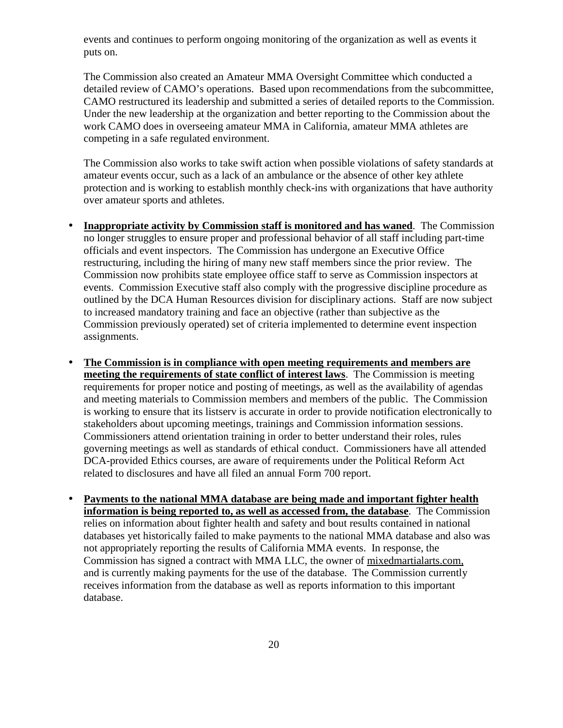events and continues to perform ongoing monitoring of the organization as well as events it puts on.

The Commission also created an Amateur MMA Oversight Committee which conducted a detailed review of CAMO's operations. Based upon recommendations from the subcommittee, CAMO restructured its leadership and submitted a series of detailed reports to the Commission. Under the new leadership at the organization and better reporting to the Commission about the work CAMO does in overseeing amateur MMA in California, amateur MMA athletes are competing in a safe regulated environment.

The Commission also works to take swift action when possible violations of safety standards at amateur events occur, such as a lack of an ambulance or the absence of other key athlete protection and is working to establish monthly check-ins with organizations that have authority over amateur sports and athletes.

- **Inappropriate activity by Commission staff is monitored and has waned**. The Commission no longer struggles to ensure proper and professional behavior of all staff including part-time officials and event inspectors. The Commission has undergone an Executive Office restructuring, including the hiring of many new staff members since the prior review. The Commission now prohibits state employee office staff to serve as Commission inspectors at events. Commission Executive staff also comply with the progressive discipline procedure as outlined by the DCA Human Resources division for disciplinary actions. Staff are now subject to increased mandatory training and face an objective (rather than subjective as the Commission previously operated) set of criteria implemented to determine event inspection assignments.
- **The Commission is in compliance with open meeting requirements and members are meeting the requirements of state conflict of interest laws**. The Commission is meeting requirements for proper notice and posting of meetings, as well as the availability of agendas and meeting materials to Commission members and members of the public. The Commission is working to ensure that its listserv is accurate in order to provide notification electronically to stakeholders about upcoming meetings, trainings and Commission information sessions. Commissioners attend orientation training in order to better understand their roles, rules governing meetings as well as standards of ethical conduct. Commissioners have all attended DCA-provided Ethics courses, are aware of requirements under the Political Reform Act related to disclosures and have all filed an annual Form 700 report.
- **Payments to the national MMA database are being made and important fighter health information is being reported to, as well as accessed from, the database**. The Commission relies on information about fighter health and safety and bout results contained in national databases yet historically failed to make payments to the national MMA database and also was not appropriately reporting the results of California MMA events. In response, the Commission has signed a contract with MMA LLC, the owner of mixedmartialarts.com, and is currently making payments for the use of the database. The Commission currently receives information from the database as well as reports information to this important database.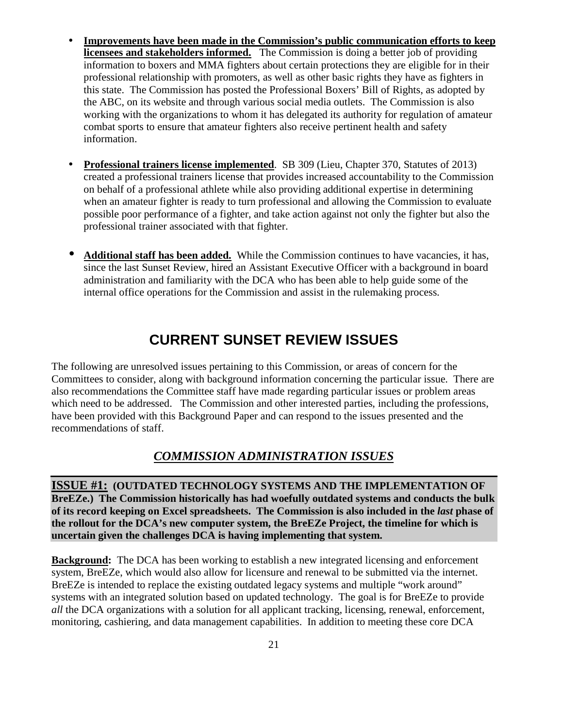- **Improvements have been made in the Commission's public communication efforts to keep licensees and stakeholders informed.** The Commission is doing a better job of providing information to boxers and MMA fighters about certain protections they are eligible for in their professional relationship with promoters, as well as other basic rights they have as fighters in this state. The Commission has posted the Professional Boxers' Bill of Rights, as adopted by the ABC, on its website and through various social media outlets. The Commission is also working with the organizations to whom it has delegated its authority for regulation of amateur combat sports to ensure that amateur fighters also receive pertinent health and safety information.
- **Professional trainers license implemented**. SB 309 (Lieu, Chapter 370, Statutes of 2013) created a professional trainers license that provides increased accountability to the Commission on behalf of a professional athlete while also providing additional expertise in determining when an amateur fighter is ready to turn professional and allowing the Commission to evaluate possible poor performance of a fighter, and take action against not only the fighter but also the professional trainer associated with that fighter.
- **Additional staff has been added.** While the Commission continues to have vacancies, it has, since the last Sunset Review, hired an Assistant Executive Officer with a background in board administration and familiarity with the DCA who has been able to help guide some of the internal office operations for the Commission and assist in the rulemaking process.

## **CURRENT SUNSET REVIEW ISSUES**

The following are unresolved issues pertaining to this Commission, or areas of concern for the Committees to consider, along with background information concerning the particular issue. There are also recommendations the Committee staff have made regarding particular issues or problem areas which need to be addressed. The Commission and other interested parties, including the professions, have been provided with this Background Paper and can respond to the issues presented and the recommendations of staff.

## *COMMISSION ADMINISTRATION ISSUES*

**ISSUE #1: (OUTDATED TECHNOLOGY SYSTEMS AND THE IMPLEMENTATION OF BreEZe.) The Commission historically has had woefully outdated systems and conducts the bulk of its record keeping on Excel spreadsheets. The Commission is also included in the** *last* **phase of the rollout for the DCA's new computer system, the BreEZe Project, the timeline for which is uncertain given the challenges DCA is having implementing that system.** 

**Background:** The DCA has been working to establish a new integrated licensing and enforcement system, BreEZe, which would also allow for licensure and renewal to be submitted via the internet. BreEZe is intended to replace the existing outdated legacy systems and multiple "work around" systems with an integrated solution based on updated technology. The goal is for BreEZe to provide *all* the DCA organizations with a solution for all applicant tracking, licensing, renewal, enforcement, monitoring, cashiering, and data management capabilities. In addition to meeting these core DCA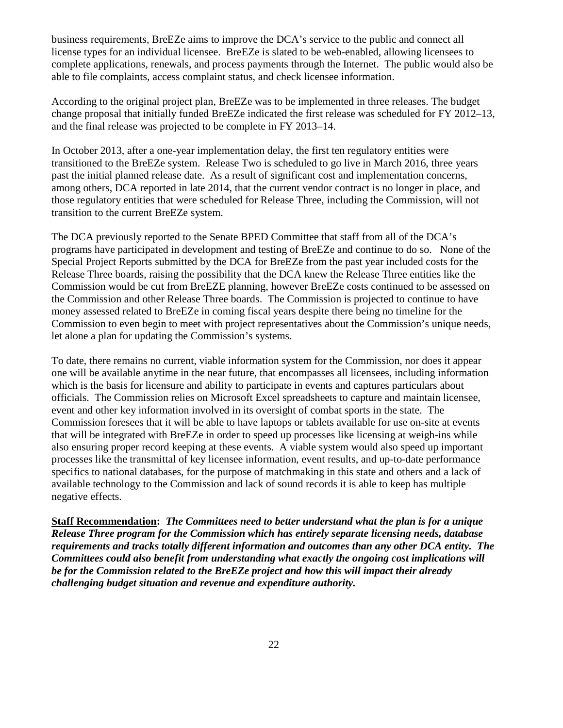business requirements, BreEZe aims to improve the DCA's service to the public and connect all license types for an individual licensee. BreEZe is slated to be web-enabled, allowing licensees to complete applications, renewals, and process payments through the Internet. The public would also be able to file complaints, access complaint status, and check licensee information.

According to the original project plan, BreEZe was to be implemented in three releases. The budget change proposal that initially funded BreEZe indicated the first release was scheduled for FY 2012–13, and the final release was projected to be complete in FY 2013–14.

In October 2013, after a one-year implementation delay, the first ten regulatory entities were transitioned to the BreEZe system. Release Two is scheduled to go live in March 2016, three years past the initial planned release date. As a result of significant cost and implementation concerns, among others, DCA reported in late 2014, that the current vendor contract is no longer in place, and those regulatory entities that were scheduled for Release Three, including the Commission, will not transition to the current BreEZe system.

The DCA previously reported to the Senate BPED Committee that staff from all of the DCA's programs have participated in development and testing of BreEZe and continue to do so. None of the Special Project Reports submitted by the DCA for BreEZe from the past year included costs for the Release Three boards, raising the possibility that the DCA knew the Release Three entities like the Commission would be cut from BreEZE planning, however BreEZe costs continued to be assessed on the Commission and other Release Three boards. The Commission is projected to continue to have money assessed related to BreEZe in coming fiscal years despite there being no timeline for the Commission to even begin to meet with project representatives about the Commission's unique needs, let alone a plan for updating the Commission's systems.

To date, there remains no current, viable information system for the Commission, nor does it appear one will be available anytime in the near future, that encompasses all licensees, including information which is the basis for licensure and ability to participate in events and captures particulars about officials. The Commission relies on Microsoft Excel spreadsheets to capture and maintain licensee, event and other key information involved in its oversight of combat sports in the state. The Commission foresees that it will be able to have laptops or tablets available for use on-site at events that will be integrated with BreEZe in order to speed up processes like licensing at weigh-ins while also ensuring proper record keeping at these events. A viable system would also speed up important processes like the transmittal of key licensee information, event results, and up-to-date performance specifics to national databases, for the purpose of matchmaking in this state and others and a lack of available technology to the Commission and lack of sound records it is able to keep has multiple negative effects.

**Staff Recommendation:** *The Committees need to better understand what the plan is for a unique Release Three program for the Commission which has entirely separate licensing needs, database requirements and tracks totally different information and outcomes than any other DCA entity. The Committees could also benefit from understanding what exactly the ongoing cost implications will be for the Commission related to the BreEZe project and how this will impact their already challenging budget situation and revenue and expenditure authority.*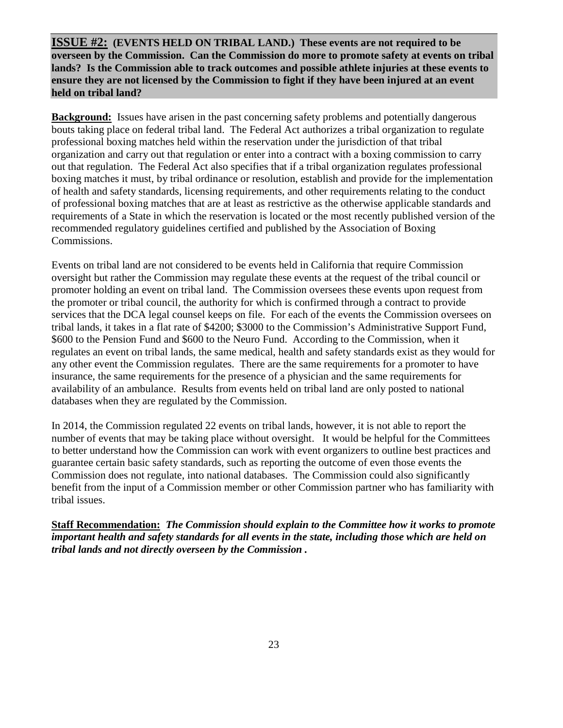**ISSUE #2: (EVENTS HELD ON TRIBAL LAND.) These events are not required to be overseen by the Commission. Can the Commission do more to promote safety at events on tribal lands? Is the Commission able to track outcomes and possible athlete injuries at these events to ensure they are not licensed by the Commission to fight if they have been injured at an event held on tribal land?** 

**Background:** Issues have arisen in the past concerning safety problems and potentially dangerous bouts taking place on federal tribal land. The Federal Act authorizes a tribal organization to regulate professional boxing matches held within the reservation under the jurisdiction of that tribal organization and carry out that regulation or enter into a contract with a boxing commission to carry out that regulation. The Federal Act also specifies that if a tribal organization regulates professional boxing matches it must, by tribal ordinance or resolution, establish and provide for the implementation of health and safety standards, licensing requirements, and other requirements relating to the conduct of professional boxing matches that are at least as restrictive as the otherwise applicable standards and requirements of a State in which the reservation is located or the most recently published version of the recommended regulatory guidelines certified and published by the Association of Boxing Commissions.

Events on tribal land are not considered to be events held in California that require Commission oversight but rather the Commission may regulate these events at the request of the tribal council or promoter holding an event on tribal land. The Commission oversees these events upon request from the promoter or tribal council, the authority for which is confirmed through a contract to provide services that the DCA legal counsel keeps on file. For each of the events the Commission oversees on tribal lands, it takes in a flat rate of \$4200; \$3000 to the Commission's Administrative Support Fund, \$600 to the Pension Fund and \$600 to the Neuro Fund. According to the Commission, when it regulates an event on tribal lands, the same medical, health and safety standards exist as they would for any other event the Commission regulates. There are the same requirements for a promoter to have insurance, the same requirements for the presence of a physician and the same requirements for availability of an ambulance. Results from events held on tribal land are only posted to national databases when they are regulated by the Commission.

In 2014, the Commission regulated 22 events on tribal lands, however, it is not able to report the number of events that may be taking place without oversight. It would be helpful for the Committees to better understand how the Commission can work with event organizers to outline best practices and guarantee certain basic safety standards, such as reporting the outcome of even those events the Commission does not regulate, into national databases. The Commission could also significantly benefit from the input of a Commission member or other Commission partner who has familiarity with tribal issues.

**Staff Recommendation:** *The Commission should explain to the Committee how it works to promote important health and safety standards for all events in the state, including those which are held on tribal lands and not directly overseen by the Commission .*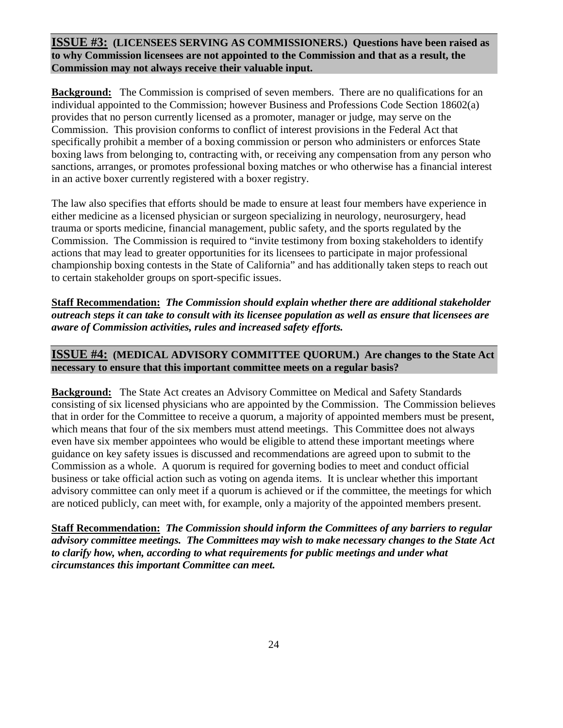**ISSUE #3: (LICENSEES SERVING AS COMMISSIONERS.) Questions have been raised as to why Commission licensees are not appointed to the Commission and that as a result, the Commission may not always receive their valuable input.** 

**Background:** The Commission is comprised of seven members. There are no qualifications for an individual appointed to the Commission; however Business and Professions Code Section 18602(a) provides that no person currently licensed as a promoter, manager or judge, may serve on the Commission. This provision conforms to conflict of interest provisions in the Federal Act that specifically prohibit a member of a boxing commission or person who administers or enforces State boxing laws from belonging to, contracting with, or receiving any compensation from any person who sanctions, arranges, or promotes professional boxing matches or who otherwise has a financial interest in an active boxer currently registered with a boxer registry.

The law also specifies that efforts should be made to ensure at least four members have experience in either medicine as a licensed physician or surgeon specializing in neurology, neurosurgery, head trauma or sports medicine, financial management, public safety, and the sports regulated by the Commission. The Commission is required to "invite testimony from boxing stakeholders to identify actions that may lead to greater opportunities for its licensees to participate in major professional championship boxing contests in the State of California" and has additionally taken steps to reach out to certain stakeholder groups on sport-specific issues.

**Staff Recommendation:** *The Commission should explain whether there are additional stakeholder outreach steps it can take to consult with its licensee population as well as ensure that licensees are aware of Commission activities, rules and increased safety efforts.* 

### **ISSUE #4: (MEDICAL ADVISORY COMMITTEE QUORUM.) Are changes to the State Act necessary to ensure that this important committee meets on a regular basis?**

**Background:** The State Act creates an Advisory Committee on Medical and Safety Standards consisting of six licensed physicians who are appointed by the Commission. The Commission believes that in order for the Committee to receive a quorum, a majority of appointed members must be present, which means that four of the six members must attend meetings. This Committee does not always even have six member appointees who would be eligible to attend these important meetings where guidance on key safety issues is discussed and recommendations are agreed upon to submit to the Commission as a whole. A quorum is required for governing bodies to meet and conduct official business or take official action such as voting on agenda items. It is unclear whether this important advisory committee can only meet if a quorum is achieved or if the committee, the meetings for which are noticed publicly, can meet with, for example, only a majority of the appointed members present.

**Staff Recommendation:** *The Commission should inform the Committees of any barriers to regular advisory committee meetings.**The Committees may wish to make necessary changes to the State Act to clarify how, when, according to what requirements for public meetings and under what circumstances this important Committee can meet.*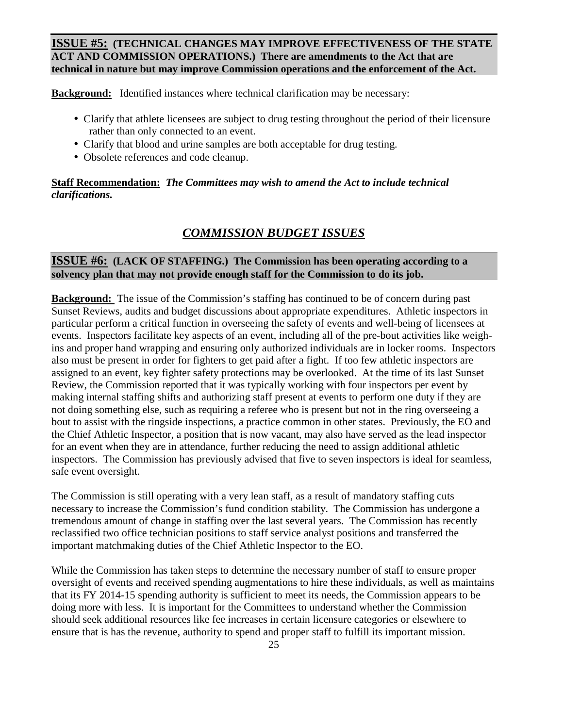**ISSUE #5: (TECHNICAL CHANGES MAY IMPROVE EFFECTIVENESS OF THE STATE ACT AND COMMISSION OPERATIONS.) There are amendments to the Act that are technical in nature but may improve Commission operations and the enforcement of the Act.** 

**Background:** Identified instances where technical clarification may be necessary:

- Clarify that athlete licensees are subject to drug testing throughout the period of their licensure rather than only connected to an event.
- Clarify that blood and urine samples are both acceptable for drug testing.
- Obsolete references and code cleanup.

**Staff Recommendation:** *The Committees may wish to amend the Act to include technical clarifications.* 

## *COMMISSION BUDGET ISSUES*

### **ISSUE #6: (LACK OF STAFFING.) The Commission has been operating according to a solvency plan that may not provide enough staff for the Commission to do its job.**

**Background:** The issue of the Commission's staffing has continued to be of concern during past Sunset Reviews, audits and budget discussions about appropriate expenditures. Athletic inspectors in particular perform a critical function in overseeing the safety of events and well-being of licensees at events. Inspectors facilitate key aspects of an event, including all of the pre-bout activities like weighins and proper hand wrapping and ensuring only authorized individuals are in locker rooms. Inspectors also must be present in order for fighters to get paid after a fight. If too few athletic inspectors are assigned to an event, key fighter safety protections may be overlooked. At the time of its last Sunset Review, the Commission reported that it was typically working with four inspectors per event by making internal staffing shifts and authorizing staff present at events to perform one duty if they are not doing something else, such as requiring a referee who is present but not in the ring overseeing a bout to assist with the ringside inspections, a practice common in other states. Previously, the EO and the Chief Athletic Inspector, a position that is now vacant, may also have served as the lead inspector for an event when they are in attendance, further reducing the need to assign additional athletic inspectors. The Commission has previously advised that five to seven inspectors is ideal for seamless, safe event oversight.

The Commission is still operating with a very lean staff, as a result of mandatory staffing cuts necessary to increase the Commission's fund condition stability. The Commission has undergone a tremendous amount of change in staffing over the last several years. The Commission has recently reclassified two office technician positions to staff service analyst positions and transferred the important matchmaking duties of the Chief Athletic Inspector to the EO.

While the Commission has taken steps to determine the necessary number of staff to ensure proper oversight of events and received spending augmentations to hire these individuals, as well as maintains that its FY 2014-15 spending authority is sufficient to meet its needs, the Commission appears to be doing more with less. It is important for the Committees to understand whether the Commission should seek additional resources like fee increases in certain licensure categories or elsewhere to ensure that is has the revenue, authority to spend and proper staff to fulfill its important mission.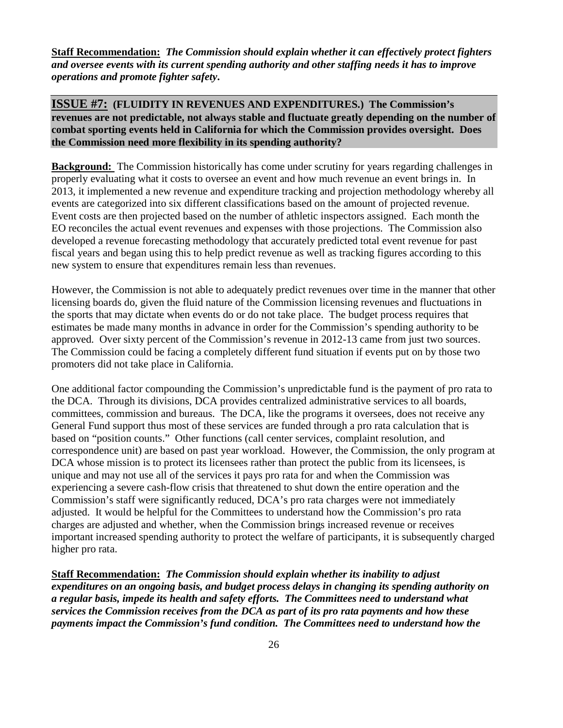**Staff Recommendation:** *The Commission should explain whether it can effectively protect fighters and oversee events with its current spending authority and other staffing needs it has to improve operations and promote fighter safety***.** 

**ISSUE #7: (FLUIDITY IN REVENUES AND EXPENDITURES.) The Commission's revenues are not predictable, not always stable and fluctuate greatly depending on the number of combat sporting events held in California for which the Commission provides oversight. Does the Commission need more flexibility in its spending authority?** 

**Background:** The Commission historically has come under scrutiny for years regarding challenges in properly evaluating what it costs to oversee an event and how much revenue an event brings in. In 2013, it implemented a new revenue and expenditure tracking and projection methodology whereby all events are categorized into six different classifications based on the amount of projected revenue. Event costs are then projected based on the number of athletic inspectors assigned. Each month the EO reconciles the actual event revenues and expenses with those projections. The Commission also developed a revenue forecasting methodology that accurately predicted total event revenue for past fiscal years and began using this to help predict revenue as well as tracking figures according to this new system to ensure that expenditures remain less than revenues.

However, the Commission is not able to adequately predict revenues over time in the manner that other licensing boards do, given the fluid nature of the Commission licensing revenues and fluctuations in the sports that may dictate when events do or do not take place. The budget process requires that estimates be made many months in advance in order for the Commission's spending authority to be approved. Over sixty percent of the Commission's revenue in 2012-13 came from just two sources. The Commission could be facing a completely different fund situation if events put on by those two promoters did not take place in California.

One additional factor compounding the Commission's unpredictable fund is the payment of pro rata to the DCA. Through its divisions, DCA provides centralized administrative services to all boards, committees, commission and bureaus. The DCA, like the programs it oversees, does not receive any General Fund support thus most of these services are funded through a pro rata calculation that is based on "position counts." Other functions (call center services, complaint resolution, and correspondence unit) are based on past year workload. However, the Commission, the only program at DCA whose mission is to protect its licensees rather than protect the public from its licensees, is unique and may not use all of the services it pays pro rata for and when the Commission was experiencing a severe cash-flow crisis that threatened to shut down the entire operation and the Commission's staff were significantly reduced, DCA's pro rata charges were not immediately adjusted. It would be helpful for the Committees to understand how the Commission's pro rata charges are adjusted and whether, when the Commission brings increased revenue or receives important increased spending authority to protect the welfare of participants, it is subsequently charged higher pro rata.

**Staff Recommendation:** *The Commission should explain whether its inability to adjust expenditures on an ongoing basis, and budget process delays in changing its spending authority on a regular basis, impede its health and safety efforts. The Committees need to understand what services the Commission receives from the DCA as part of its pro rata payments and how these payments impact the Commission's fund condition. The Committees need to understand how the*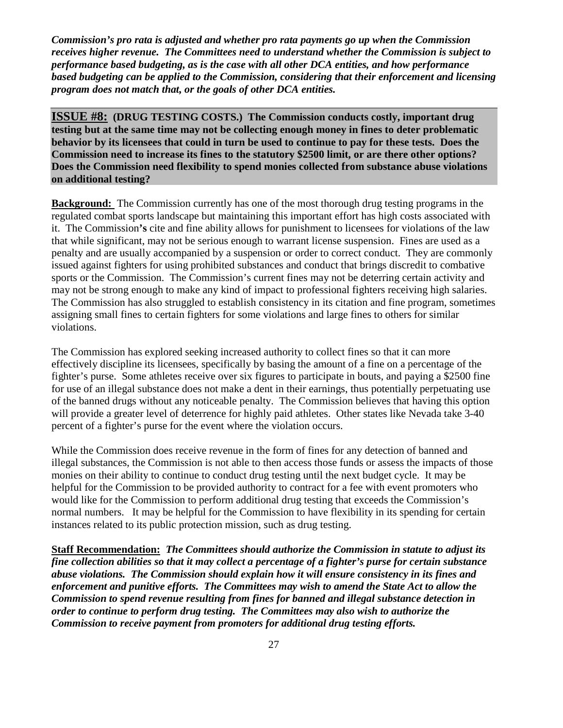*Commission's pro rata is adjusted and whether pro rata payments go up when the Commission receives higher revenue. The Committees need to understand whether the Commission is subject to performance based budgeting, as is the case with all other DCA entities, and how performance based budgeting can be applied to the Commission, considering that their enforcement and licensing program does not match that, or the goals of other DCA entities.*

**ISSUE #8: (DRUG TESTING COSTS.) The Commission conducts costly, important drug testing but at the same time may not be collecting enough money in fines to deter problematic behavior by its licensees that could in turn be used to continue to pay for these tests. Does the Commission need to increase its fines to the statutory \$2500 limit, or are there other options? Does the Commission need flexibility to spend monies collected from substance abuse violations on additional testing?**

**Background:** The Commission currently has one of the most thorough drug testing programs in the regulated combat sports landscape but maintaining this important effort has high costs associated with it. The Commission**'s** cite and fine ability allows for punishment to licensees for violations of the law that while significant, may not be serious enough to warrant license suspension. Fines are used as a penalty and are usually accompanied by a suspension or order to correct conduct. They are commonly issued against fighters for using prohibited substances and conduct that brings discredit to combative sports or the Commission. The Commission's current fines may not be deterring certain activity and may not be strong enough to make any kind of impact to professional fighters receiving high salaries. The Commission has also struggled to establish consistency in its citation and fine program, sometimes assigning small fines to certain fighters for some violations and large fines to others for similar violations.

The Commission has explored seeking increased authority to collect fines so that it can more effectively discipline its licensees, specifically by basing the amount of a fine on a percentage of the fighter's purse. Some athletes receive over six figures to participate in bouts, and paying a \$2500 fine for use of an illegal substance does not make a dent in their earnings, thus potentially perpetuating use of the banned drugs without any noticeable penalty. The Commission believes that having this option will provide a greater level of deterrence for highly paid athletes. Other states like Nevada take 3-40 percent of a fighter's purse for the event where the violation occurs.

While the Commission does receive revenue in the form of fines for any detection of banned and illegal substances, the Commission is not able to then access those funds or assess the impacts of those monies on their ability to continue to conduct drug testing until the next budget cycle. It may be helpful for the Commission to be provided authority to contract for a fee with event promoters who would like for the Commission to perform additional drug testing that exceeds the Commission's normal numbers. It may be helpful for the Commission to have flexibility in its spending for certain instances related to its public protection mission, such as drug testing.

**Staff Recommendation:** *The Committees should authorize the Commission in statute to adjust its fine collection abilities so that it may collect a percentage of a fighter's purse for certain substance abuse violations. The Commission should explain how it will ensure consistency in its fines and enforcement and punitive efforts. The Committees may wish to amend the State Act to allow the Commission to spend revenue resulting from fines for banned and illegal substance detection in order to continue to perform drug testing. The Committees may also wish to authorize the Commission to receive payment from promoters for additional drug testing efforts.*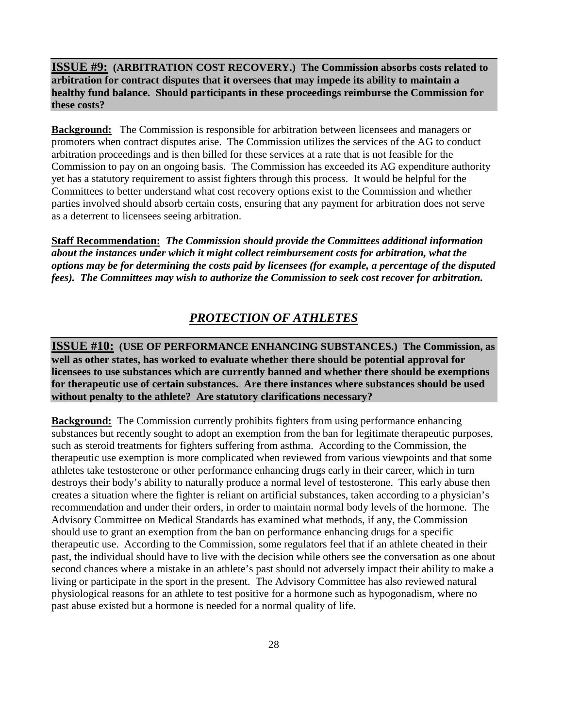### **ISSUE #9: (ARBITRATION COST RECOVERY.) The Commission absorbs costs related to arbitration for contract disputes that it oversees that may impede its ability to maintain a healthy fund balance. Should participants in these proceedings reimburse the Commission for these costs?**

**Background:** The Commission is responsible for arbitration between licensees and managers or promoters when contract disputes arise. The Commission utilizes the services of the AG to conduct arbitration proceedings and is then billed for these services at a rate that is not feasible for the Commission to pay on an ongoing basis. The Commission has exceeded its AG expenditure authority yet has a statutory requirement to assist fighters through this process. It would be helpful for the Committees to better understand what cost recovery options exist to the Commission and whether parties involved should absorb certain costs, ensuring that any payment for arbitration does not serve as a deterrent to licensees seeing arbitration.

**Staff Recommendation:** *The Commission should provide the Committees additional information about the instances under which it might collect reimbursement costs for arbitration, what the options may be for determining the costs paid by licensees (for example, a percentage of the disputed fees). The Committees may wish to authorize the Commission to seek cost recover for arbitration.* 

## *PROTECTION OF ATHLETES*

**ISSUE #10: (USE OF PERFORMANCE ENHANCING SUBSTANCES.) The Commission, as well as other states, has worked to evaluate whether there should be potential approval for licensees to use substances which are currently banned and whether there should be exemptions for therapeutic use of certain substances. Are there instances where substances should be used without penalty to the athlete? Are statutory clarifications necessary?** 

**Background:** The Commission currently prohibits fighters from using performance enhancing substances but recently sought to adopt an exemption from the ban for legitimate therapeutic purposes, such as steroid treatments for fighters suffering from asthma. According to the Commission, the therapeutic use exemption is more complicated when reviewed from various viewpoints and that some athletes take testosterone or other performance enhancing drugs early in their career, which in turn destroys their body's ability to naturally produce a normal level of testosterone. This early abuse then creates a situation where the fighter is reliant on artificial substances, taken according to a physician's recommendation and under their orders, in order to maintain normal body levels of the hormone. The Advisory Committee on Medical Standards has examined what methods, if any, the Commission should use to grant an exemption from the ban on performance enhancing drugs for a specific therapeutic use. According to the Commission, some regulators feel that if an athlete cheated in their past, the individual should have to live with the decision while others see the conversation as one about second chances where a mistake in an athlete's past should not adversely impact their ability to make a living or participate in the sport in the present. The Advisory Committee has also reviewed natural physiological reasons for an athlete to test positive for a hormone such as hypogonadism, where no past abuse existed but a hormone is needed for a normal quality of life.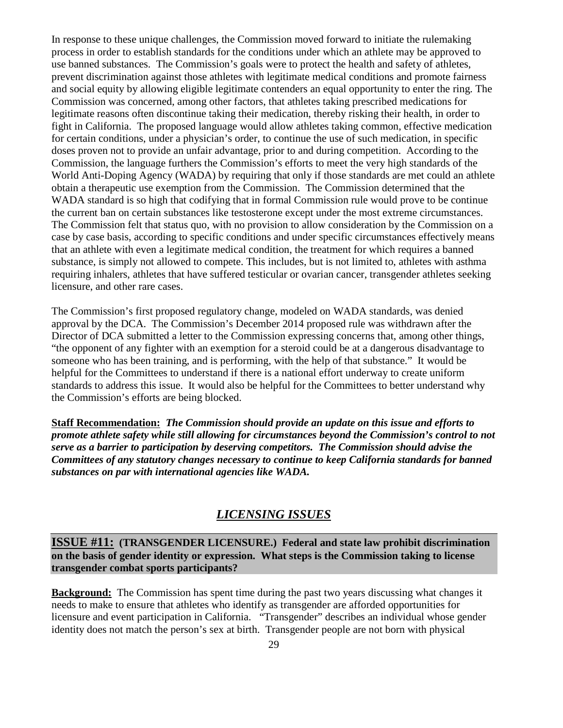In response to these unique challenges, the Commission moved forward to initiate the rulemaking process in order to establish standards for the conditions under which an athlete may be approved to use banned substances. The Commission's goals were to protect the health and safety of athletes, prevent discrimination against those athletes with legitimate medical conditions and promote fairness and social equity by allowing eligible legitimate contenders an equal opportunity to enter the ring. The Commission was concerned, among other factors, that athletes taking prescribed medications for legitimate reasons often discontinue taking their medication, thereby risking their health, in order to fight in California. The proposed language would allow athletes taking common, effective medication for certain conditions, under a physician's order, to continue the use of such medication, in specific doses proven not to provide an unfair advantage, prior to and during competition. According to the Commission, the language furthers the Commission's efforts to meet the very high standards of the World Anti-Doping Agency (WADA) by requiring that only if those standards are met could an athlete obtain a therapeutic use exemption from the Commission. The Commission determined that the WADA standard is so high that codifying that in formal Commission rule would prove to be continue the current ban on certain substances like testosterone except under the most extreme circumstances. The Commission felt that status quo, with no provision to allow consideration by the Commission on a case by case basis, according to specific conditions and under specific circumstances effectively means that an athlete with even a legitimate medical condition, the treatment for which requires a banned substance, is simply not allowed to compete. This includes, but is not limited to, athletes with asthma requiring inhalers, athletes that have suffered testicular or ovarian cancer, transgender athletes seeking licensure, and other rare cases.

The Commission's first proposed regulatory change, modeled on WADA standards, was denied approval by the DCA. The Commission's December 2014 proposed rule was withdrawn after the Director of DCA submitted a letter to the Commission expressing concerns that, among other things, "the opponent of any fighter with an exemption for a steroid could be at a dangerous disadvantage to someone who has been training, and is performing, with the help of that substance." It would be helpful for the Committees to understand if there is a national effort underway to create uniform standards to address this issue. It would also be helpful for the Committees to better understand why the Commission's efforts are being blocked.

**Staff Recommendation:** *The Commission should provide an update on this issue and efforts to promote athlete safety while still allowing for circumstances beyond the Commission's control to not serve as a barrier to participation by deserving competitors.**The Commission should advise the Committees of any statutory changes necessary to continue to keep California standards for banned substances on par with international agencies like WADA.*

## *LICENSING ISSUES*

**ISSUE #11: (TRANSGENDER LICENSURE.) Federal and state law prohibit discrimination on the basis of gender identity or expression. What steps is the Commission taking to license transgender combat sports participants?** 

**Background:** The Commission has spent time during the past two years discussing what changes it needs to make to ensure that athletes who identify as transgender are afforded opportunities for licensure and event participation in California. "Transgender" describes an individual whose gender identity does not match the person's sex at birth. Transgender people are not born with physical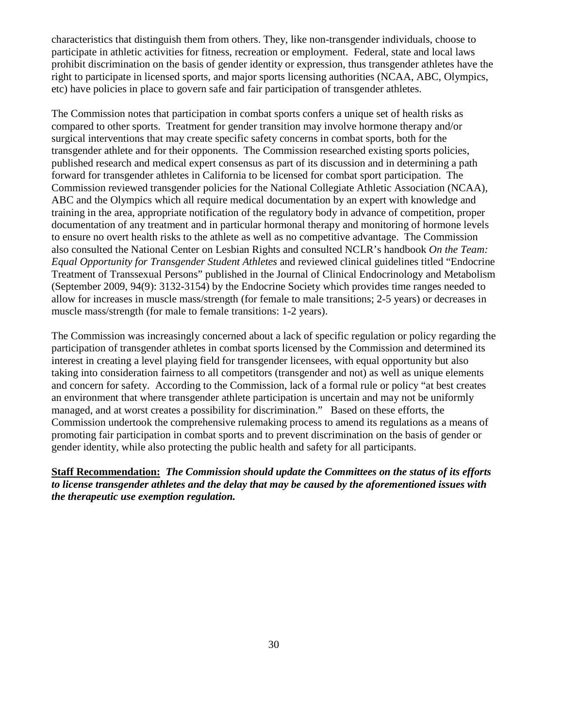characteristics that distinguish them from others. They, like non-transgender individuals, choose to participate in athletic activities for fitness, recreation or employment. Federal, state and local laws prohibit discrimination on the basis of gender identity or expression, thus transgender athletes have the right to participate in licensed sports, and major sports licensing authorities (NCAA, ABC, Olympics, etc) have policies in place to govern safe and fair participation of transgender athletes.

The Commission notes that participation in combat sports confers a unique set of health risks as compared to other sports. Treatment for gender transition may involve hormone therapy and/or surgical interventions that may create specific safety concerns in combat sports, both for the transgender athlete and for their opponents. The Commission researched existing sports policies, published research and medical expert consensus as part of its discussion and in determining a path forward for transgender athletes in California to be licensed for combat sport participation. The Commission reviewed transgender policies for the National Collegiate Athletic Association (NCAA), ABC and the Olympics which all require medical documentation by an expert with knowledge and training in the area, appropriate notification of the regulatory body in advance of competition, proper documentation of any treatment and in particular hormonal therapy and monitoring of hormone levels to ensure no overt health risks to the athlete as well as no competitive advantage. The Commission also consulted the National Center on Lesbian Rights and consulted NCLR's handbook *On the Team: Equal Opportunity for Transgender Student Athletes* and reviewed clinical guidelines titled "Endocrine Treatment of Transsexual Persons" published in the Journal of Clinical Endocrinology and Metabolism (September 2009, 94(9): 3132-3154) by the Endocrine Society which provides time ranges needed to allow for increases in muscle mass/strength (for female to male transitions; 2-5 years) or decreases in muscle mass/strength (for male to female transitions: 1-2 years).

The Commission was increasingly concerned about a lack of specific regulation or policy regarding the participation of transgender athletes in combat sports licensed by the Commission and determined its interest in creating a level playing field for transgender licensees, with equal opportunity but also taking into consideration fairness to all competitors (transgender and not) as well as unique elements and concern for safety. According to the Commission, lack of a formal rule or policy "at best creates an environment that where transgender athlete participation is uncertain and may not be uniformly managed, and at worst creates a possibility for discrimination." Based on these efforts, the Commission undertook the comprehensive rulemaking process to amend its regulations as a means of promoting fair participation in combat sports and to prevent discrimination on the basis of gender or gender identity, while also protecting the public health and safety for all participants.

### **Staff Recommendation:** *The Commission should update the Committees on the status of its efforts to license transgender athletes and the delay that may be caused by the aforementioned issues with the therapeutic use exemption regulation.*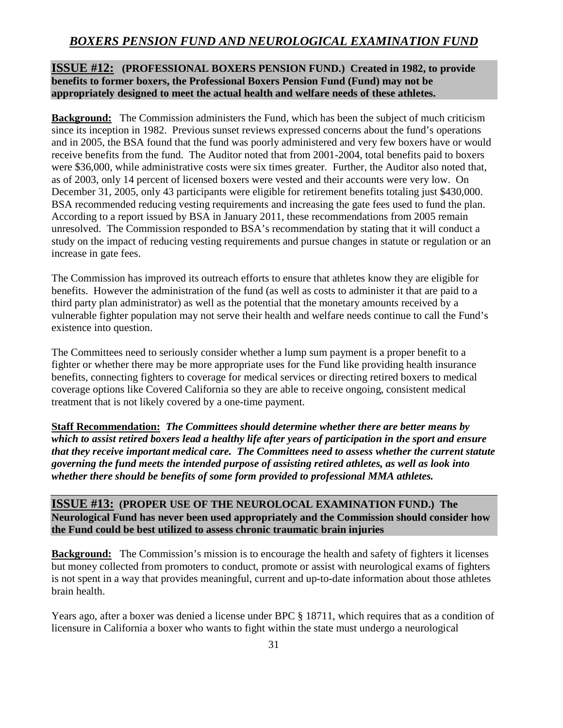## *BOXERS PENSION FUND AND NEUROLOGICAL EXAMINATION FUND*

## **ISSUE #12: (PROFESSIONAL BOXERS PENSION FUND.) Created in 1982, to provide benefits to former boxers, the Professional Boxers Pension Fund (Fund) may not be appropriately designed to meet the actual health and welfare needs of these athletes.**

**Background:** The Commission administers the Fund, which has been the subject of much criticism since its inception in 1982. Previous sunset reviews expressed concerns about the fund's operations and in 2005, the BSA found that the fund was poorly administered and very few boxers have or would receive benefits from the fund. The Auditor noted that from 2001-2004, total benefits paid to boxers were \$36,000, while administrative costs were six times greater. Further, the Auditor also noted that, as of 2003, only 14 percent of licensed boxers were vested and their accounts were very low. On December 31, 2005, only 43 participants were eligible for retirement benefits totaling just \$430,000. BSA recommended reducing vesting requirements and increasing the gate fees used to fund the plan. According to a report issued by BSA in January 2011, these recommendations from 2005 remain unresolved. The Commission responded to BSA's recommendation by stating that it will conduct a study on the impact of reducing vesting requirements and pursue changes in statute or regulation or an increase in gate fees.

The Commission has improved its outreach efforts to ensure that athletes know they are eligible for benefits. However the administration of the fund (as well as costs to administer it that are paid to a third party plan administrator) as well as the potential that the monetary amounts received by a vulnerable fighter population may not serve their health and welfare needs continue to call the Fund's existence into question.

The Committees need to seriously consider whether a lump sum payment is a proper benefit to a fighter or whether there may be more appropriate uses for the Fund like providing health insurance benefits, connecting fighters to coverage for medical services or directing retired boxers to medical coverage options like Covered California so they are able to receive ongoing, consistent medical treatment that is not likely covered by a one-time payment.

**Staff Recommendation:** *The Committees should determine whether there are better means by which to assist retired boxers lead a healthy life after years of participation in the sport and ensure that they receive important medical care. The Committees need to assess whether the current statute governing the fund meets the intended purpose of assisting retired athletes, as well as look into whether there should be benefits of some form provided to professional MMA athletes.* 

### **ISSUE #13: (PROPER USE OF THE NEUROLOCAL EXAMINATION FUND.) The Neurological Fund has never been used appropriately and the Commission should consider how the Fund could be best utilized to assess chronic traumatic brain injuries**

**Background:** The Commission's mission is to encourage the health and safety of fighters it licenses but money collected from promoters to conduct, promote or assist with neurological exams of fighters is not spent in a way that provides meaningful, current and up-to-date information about those athletes brain health.

Years ago, after a boxer was denied a license under BPC § 18711, which requires that as a condition of licensure in California a boxer who wants to fight within the state must undergo a neurological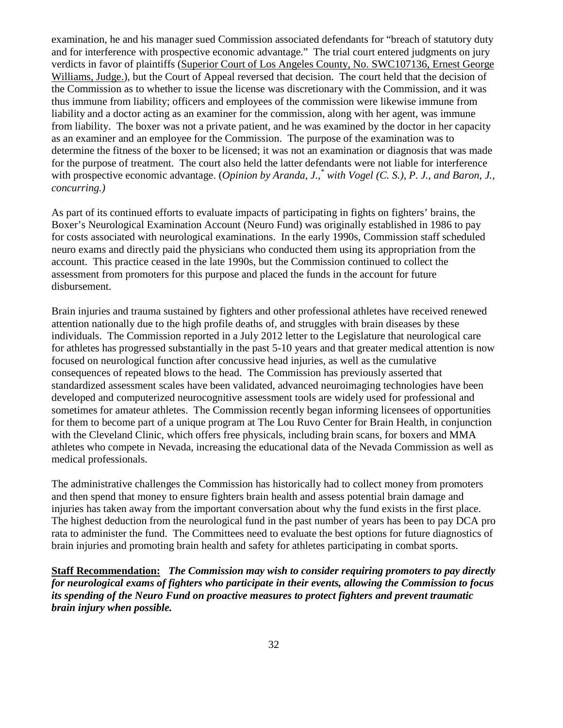examination, he and his manager sued Commission associated defendants for "breach of statutory duty and for interference with prospective economic advantage." The trial court entered judgments on jury verdicts in favor of plaintiffs (Superior Court of Los Angeles County, No. SWC107136, Ernest George Williams, Judge.), but the Court of Appeal reversed that decision. The court held that the decision of the Commission as to whether to issue the license was discretionary with the Commission, and it was thus immune from liability; officers and employees of the commission were likewise immune from liability and a doctor acting as an examiner for the commission, along with her agent, was immune from liability. The boxer was not a private patient, and he was examined by the doctor in her capacity as an examiner and an employee for the Commission. The purpose of the examination was to determine the fitness of the boxer to be licensed; it was not an examination or diagnosis that was made for the purpose of treatment. The court also held the latter defendants were not liable for interference with prospective economic advantage. (Opinion by Aranda, J.,<sup>\*</sup> with Vogel (C. S.), P. J., and Baron, J., *concurring.)* 

As part of its continued efforts to evaluate impacts of participating in fights on fighters' brains, the Boxer's Neurological Examination Account (Neuro Fund) was originally established in 1986 to pay for costs associated with neurological examinations. In the early 1990s, Commission staff scheduled neuro exams and directly paid the physicians who conducted them using its appropriation from the account. This practice ceased in the late 1990s, but the Commission continued to collect the assessment from promoters for this purpose and placed the funds in the account for future disbursement.

Brain injuries and trauma sustained by fighters and other professional athletes have received renewed attention nationally due to the high profile deaths of, and struggles with brain diseases by these individuals. The Commission reported in a July 2012 letter to the Legislature that neurological care for athletes has progressed substantially in the past 5-10 years and that greater medical attention is now focused on neurological function after concussive head injuries, as well as the cumulative consequences of repeated blows to the head. The Commission has previously asserted that standardized assessment scales have been validated, advanced neuroimaging technologies have been developed and computerized neurocognitive assessment tools are widely used for professional and sometimes for amateur athletes. The Commission recently began informing licensees of opportunities for them to become part of a unique program at The Lou Ruvo Center for Brain Health, in conjunction with the Cleveland Clinic, which offers free physicals, including brain scans, for boxers and MMA athletes who compete in Nevada, increasing the educational data of the Nevada Commission as well as medical professionals.

The administrative challenges the Commission has historically had to collect money from promoters and then spend that money to ensure fighters brain health and assess potential brain damage and injuries has taken away from the important conversation about why the fund exists in the first place. The highest deduction from the neurological fund in the past number of years has been to pay DCA pro rata to administer the fund. The Committees need to evaluate the best options for future diagnostics of brain injuries and promoting brain health and safety for athletes participating in combat sports.

**Staff Recommendation:** *The Commission may wish to consider requiring promoters to pay directly for neurological exams of fighters who participate in their events, allowing the Commission to focus its spending of the Neuro Fund on proactive measures to protect fighters and prevent traumatic brain injury when possible.*